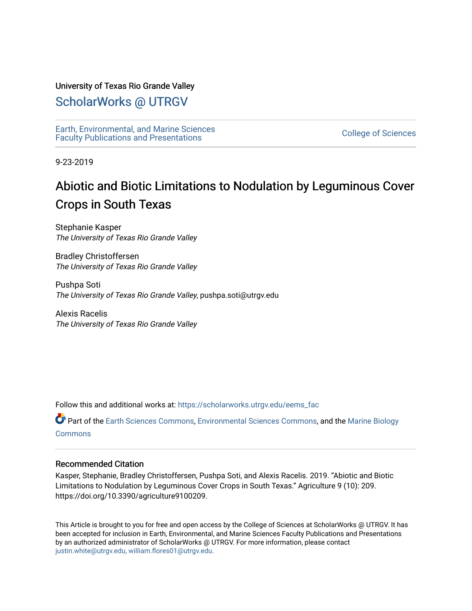# University of Texas Rio Grande Valley

# [ScholarWorks @ UTRGV](https://scholarworks.utrgv.edu/)

[Earth, Environmental, and Marine Sciences](https://scholarworks.utrgv.edu/eems_fac) [Faculty Publications and Presentations](https://scholarworks.utrgv.edu/eems_fac) [College of Sciences](https://scholarworks.utrgv.edu/cos) 

9-23-2019

# Abiotic and Biotic Limitations to Nodulation by Leguminous Cover Crops in South Texas

Stephanie Kasper The University of Texas Rio Grande Valley

Bradley Christoffersen The University of Texas Rio Grande Valley

Pushpa Soti The University of Texas Rio Grande Valley, pushpa.soti@utrgv.edu

Alexis Racelis The University of Texas Rio Grande Valley

Follow this and additional works at: [https://scholarworks.utrgv.edu/eems\\_fac](https://scholarworks.utrgv.edu/eems_fac?utm_source=scholarworks.utrgv.edu%2Feems_fac%2F29&utm_medium=PDF&utm_campaign=PDFCoverPages) 

Part of the [Earth Sciences Commons,](http://network.bepress.com/hgg/discipline/153?utm_source=scholarworks.utrgv.edu%2Feems_fac%2F29&utm_medium=PDF&utm_campaign=PDFCoverPages) [Environmental Sciences Commons](http://network.bepress.com/hgg/discipline/167?utm_source=scholarworks.utrgv.edu%2Feems_fac%2F29&utm_medium=PDF&utm_campaign=PDFCoverPages), and the [Marine Biology](http://network.bepress.com/hgg/discipline/1126?utm_source=scholarworks.utrgv.edu%2Feems_fac%2F29&utm_medium=PDF&utm_campaign=PDFCoverPages) **[Commons](http://network.bepress.com/hgg/discipline/1126?utm_source=scholarworks.utrgv.edu%2Feems_fac%2F29&utm_medium=PDF&utm_campaign=PDFCoverPages)** 

# Recommended Citation

Kasper, Stephanie, Bradley Christoffersen, Pushpa Soti, and Alexis Racelis. 2019. "Abiotic and Biotic Limitations to Nodulation by Leguminous Cover Crops in South Texas." Agriculture 9 (10): 209. https://doi.org/10.3390/agriculture9100209.

This Article is brought to you for free and open access by the College of Sciences at ScholarWorks @ UTRGV. It has been accepted for inclusion in Earth, Environmental, and Marine Sciences Faculty Publications and Presentations by an authorized administrator of ScholarWorks @ UTRGV. For more information, please contact [justin.white@utrgv.edu, william.flores01@utrgv.edu](mailto:justin.white@utrgv.edu,%20william.flores01@utrgv.edu).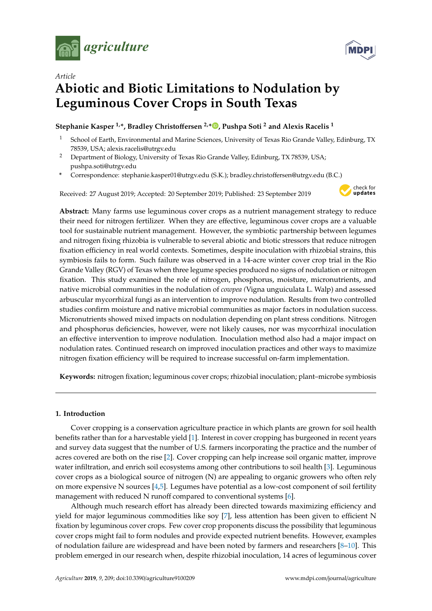



# *Article* **Abiotic and Biotic Limitations to Nodulation by Leguminous Cover Crops in South Texas**

# **Stephanie Kasper 1,\*, Bradley Christo**ff**ersen 2,[\\*](https://orcid.org/0000-0002-4890-9999) , Pushpa Soti <sup>2</sup> and Alexis Racelis <sup>1</sup>**

- School of Earth, Environmental and Marine Sciences, University of Texas Rio Grande Valley, Edinburg, TX 78539, USA; alexis.racelis@utrgv.edu
- <sup>2</sup> Department of Biology, University of Texas Rio Grande Valley, Edinburg, TX 78539, USA; pushpa.soti@utrgv.edu
- **\*** Correspondence: stephanie.kasper01@utrgv.edu (S.K.); bradley.christoffersen@utrgv.edu (B.C.)

Received: 27 August 2019; Accepted: 20 September 2019; Published: 23 September 2019



**Abstract:** Many farms use leguminous cover crops as a nutrient management strategy to reduce their need for nitrogen fertilizer. When they are effective, leguminous cover crops are a valuable tool for sustainable nutrient management. However, the symbiotic partnership between legumes and nitrogen fixing rhizobia is vulnerable to several abiotic and biotic stressors that reduce nitrogen fixation efficiency in real world contexts. Sometimes, despite inoculation with rhizobial strains, this symbiosis fails to form. Such failure was observed in a 14-acre winter cover crop trial in the Rio Grande Valley (RGV) of Texas when three legume species produced no signs of nodulation or nitrogen fixation. This study examined the role of nitrogen, phosphorus, moisture, micronutrients, and native microbial communities in the nodulation of *cowpea (*Vigna unguiculata L. Walp) and assessed arbuscular mycorrhizal fungi as an intervention to improve nodulation. Results from two controlled studies confirm moisture and native microbial communities as major factors in nodulation success. Micronutrients showed mixed impacts on nodulation depending on plant stress conditions. Nitrogen and phosphorus deficiencies, however, were not likely causes, nor was mycorrhizal inoculation an effective intervention to improve nodulation. Inoculation method also had a major impact on nodulation rates. Continued research on improved inoculation practices and other ways to maximize nitrogen fixation efficiency will be required to increase successful on-farm implementation.

**Keywords:** nitrogen fixation; leguminous cover crops; rhizobial inoculation; plant–microbe symbiosis

# **1. Introduction**

Cover cropping is a conservation agriculture practice in which plants are grown for soil health benefits rather than for a harvestable yield [\[1\]](#page-17-0). Interest in cover cropping has burgeoned in recent years and survey data suggest that the number of U.S. farmers incorporating the practice and the number of acres covered are both on the rise [\[2\]](#page-17-1). Cover cropping can help increase soil organic matter, improve water infiltration, and enrich soil ecosystems among other contributions to soil health [\[3\]](#page-17-2). Leguminous cover crops as a biological source of nitrogen (N) are appealing to organic growers who often rely on more expensive N sources [\[4](#page-17-3)[,5\]](#page-17-4). Legumes have potential as a low-cost component of soil fertility management with reduced N runoff compared to conventional systems [\[6\]](#page-17-5).

Although much research effort has already been directed towards maximizing efficiency and yield for major leguminous commodities like soy [\[7\]](#page-17-6), less attention has been given to efficient N fixation by leguminous cover crops. Few cover crop proponents discuss the possibility that leguminous cover crops might fail to form nodules and provide expected nutrient benefits. However, examples of nodulation failure are widespread and have been noted by farmers and researchers [\[8](#page-17-7)[–10\]](#page-17-8). This problem emerged in our research when, despite rhizobial inoculation, 14 acres of leguminous cover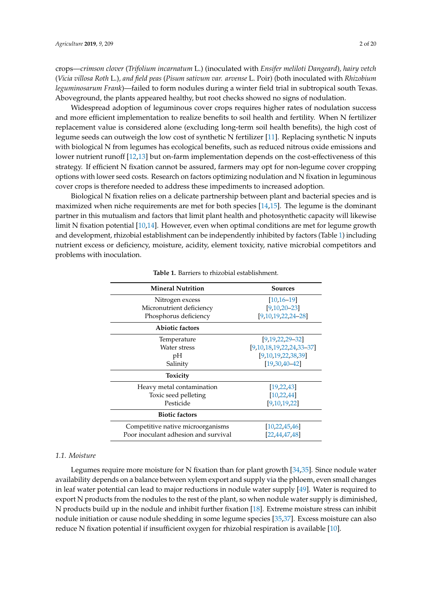crops—*crimson clover* (*Trifolium incarnatum* L.) (inoculated with *Ensifer meliloti Dangeard*)*, hairy vetch* (*Vicia villosa Roth* L.)*, and field peas* (*Pisum sativum var. arvense* L. Poir) (both inoculated with *Rhizobium leguminosarum Frank*)—failed to form nodules during a winter field trial in subtropical south Texas. Aboveground, the plants appeared healthy, but root checks showed no signs of nodulation.

Widespread adoption of leguminous cover crops requires higher rates of nodulation success and more efficient implementation to realize benefits to soil health and fertility. When N fertilizer replacement value is considered alone (excluding long-term soil health benefits), the high cost of legume seeds can outweigh the low cost of synthetic N fertilizer [\[11\]](#page-17-9). Replacing synthetic N inputs with biological N from legumes has ecological benefits, such as reduced nitrous oxide emissions and lower nutrient runoff [\[12,](#page-17-10)[13\]](#page-17-11) but on-farm implementation depends on the cost-effectiveness of this strategy. If efficient N fixation cannot be assured, farmers may opt for non-legume cover cropping options with lower seed costs. Research on factors optimizing nodulation and N fixation in leguminous cover crops is therefore needed to address these impediments to increased adoption.

Biological N fixation relies on a delicate partnership between plant and bacterial species and is maximized when niche requirements are met for both species [\[14,](#page-18-0)[15\]](#page-18-1). The legume is the dominant partner in this mutualism and factors that limit plant health and photosynthetic capacity will likewise limit N fixation potential [\[10,](#page-17-8)[14\]](#page-18-0). However, even when optimal conditions are met for legume growth and development, rhizobial establishment can be independently inhibited by factors (Table [1\)](#page-2-0) including nutrient excess or deficiency, moisture, acidity, element toxicity, native microbial competitors and problems with inoculation.

<span id="page-2-0"></span>

| Sources                  |
|--------------------------|
| $[10.16 - 19]$           |
| $[9.10.20 - 23]$         |
| $[9,10,19,22,24-28]$     |
|                          |
| $[9, 19, 22, 29 - 32]$   |
| [9,10,18,19,22,24,33-37] |
| [9.10.19.22.38.39]       |
| $[19,30,40-42]$          |
|                          |
| [19, 22, 43]             |
| [10, 22, 44]             |
| [9,10,19,22]             |
|                          |
| [10, 22, 45, 46]         |
| [22, 44, 47, 48]         |
|                          |

**Table 1.** Barriers to rhizobial establishment.

#### *1.1. Moisture*

Legumes require more moisture for N fixation than for plant growth [\[34,](#page-18-16)[35\]](#page-18-17). Since nodule water availability depends on a balance between xylem export and supply via the phloem, even small changes in leaf water potential can lead to major reductions in nodule water supply [\[49\]](#page-19-9). Water is required to export N products from the nodules to the rest of the plant, so when nodule water supply is diminished, N products build up in the nodule and inhibit further fixation [\[18\]](#page-18-11). Extreme moisture stress can inhibit nodule initiation or cause nodule shedding in some legume species [\[35](#page-18-17)[,37\]](#page-18-13). Excess moisture can also reduce N fixation potential if insufficient oxygen for rhizobial respiration is available [\[10\]](#page-17-8).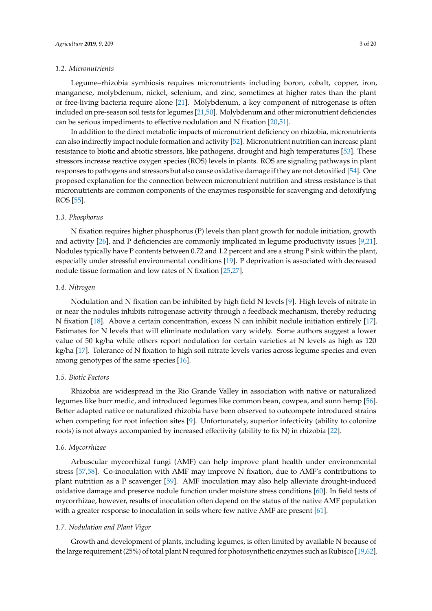#### *1.2. Micronutrients*

Legume–rhizobia symbiosis requires micronutrients including boron, cobalt, copper, iron, manganese, molybdenum, nickel, selenium, and zinc, sometimes at higher rates than the plant or free-living bacteria require alone [\[21\]](#page-18-18). Molybdenum, a key component of nitrogenase is often included on pre-season soil tests for legumes [\[21,](#page-18-18)[50\]](#page-19-10). Molybdenum and other micronutrient deficiencies can be serious impediments to effective nodulation and N fixation [\[20,](#page-18-4)[51\]](#page-19-11).

In addition to the direct metabolic impacts of micronutrient deficiency on rhizobia, micronutrients can also indirectly impact nodule formation and activity [\[52\]](#page-19-12). Micronutrient nutrition can increase plant resistance to biotic and abiotic stressors, like pathogens, drought and high temperatures [\[53\]](#page-19-13). These stressors increase reactive oxygen species (ROS) levels in plants. ROS are signaling pathways in plant responses to pathogens and stressors but also cause oxidative damage if they are not detoxified [\[54\]](#page-19-14). One proposed explanation for the connection between micronutrient nutrition and stress resistance is that micronutrients are common components of the enzymes responsible for scavenging and detoxifying ROS [\[55\]](#page-19-15).

#### *1.3. Phosphorus*

N fixation requires higher phosphorus (P) levels than plant growth for nodule initiation, growth and activity [\[26\]](#page-18-19), and P deficiencies are commonly implicated in legume productivity issues [\[9,](#page-17-12)[21\]](#page-18-18). Nodules typically have P contents between 0.72 and 1.2 percent and are a strong P sink within the plant, especially under stressful environmental conditions [\[19\]](#page-18-3). P deprivation is associated with decreased nodule tissue formation and low rates of N fixation [\[25,](#page-18-20)[27\]](#page-18-21).

#### *1.4. Nitrogen*

Nodulation and N fixation can be inhibited by high field N levels [\[9\]](#page-17-12). High levels of nitrate in or near the nodules inhibits nitrogenase activity through a feedback mechanism, thereby reducing N fixation [\[18\]](#page-18-11). Above a certain concentration, excess N can inhibit nodule initiation entirely [\[17\]](#page-18-22). Estimates for N levels that will eliminate nodulation vary widely. Some authors suggest a lower value of 50 kg/ha while others report nodulation for certain varieties at N levels as high as 120 kg/ha [\[17\]](#page-18-22). Tolerance of N fixation to high soil nitrate levels varies across legume species and even among genotypes of the same species [\[16\]](#page-18-2).

# *1.5. Biotic Factors*

Rhizobia are widespread in the Rio Grande Valley in association with native or naturalized legumes like burr medic, and introduced legumes like common bean, cowpea, and sunn hemp [\[56\]](#page-19-16). Better adapted native or naturalized rhizobia have been observed to outcompete introduced strains when competing for root infection sites [\[9\]](#page-17-12). Unfortunately, superior infectivity (ability to colonize roots) is not always accompanied by increased effectivity (ability to fix N) in rhizobia [\[22\]](#page-18-6).

### *1.6. Mycorrhizae*

Arbuscular mycorrhizal fungi (AMF) can help improve plant health under environmental stress [\[57,](#page-19-17)[58\]](#page-19-18). Co-inoculation with AMF may improve N fixation, due to AMF's contributions to plant nutrition as a P scavenger [\[59\]](#page-19-19). AMF inoculation may also help alleviate drought-induced oxidative damage and preserve nodule function under moisture stress conditions [\[60\]](#page-19-20). In field tests of mycorrhizae, however, results of inoculation often depend on the status of the native AMF population with a greater response to inoculation in soils where few native AMF are present [\[61\]](#page-19-21).

### *1.7. Nodulation and Plant Vigor*

Growth and development of plants, including legumes, is often limited by available N because of the large requirement (25%) of total plant N required for photosynthetic enzymes such as Rubisco [\[19](#page-18-3)[,62\]](#page-20-0).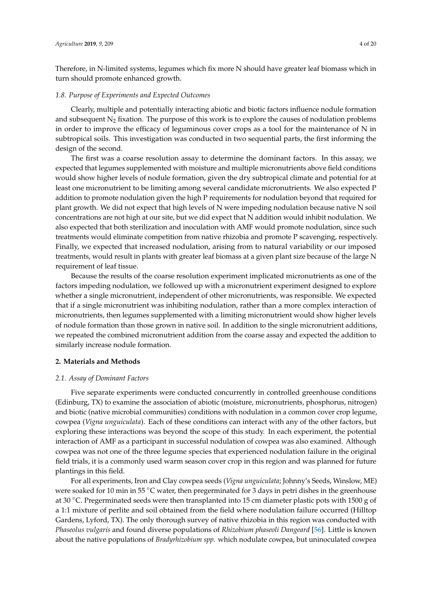Therefore, in N-limited systems, legumes which fix more N should have greater leaf biomass which in turn should promote enhanced growth.

#### *1.8. Purpose of Experiments and Expected Outcomes*

Clearly, multiple and potentially interacting abiotic and biotic factors influence nodule formation and subsequent  $N_2$  fixation. The purpose of this work is to explore the causes of nodulation problems in order to improve the efficacy of leguminous cover crops as a tool for the maintenance of N in subtropical soils. This investigation was conducted in two sequential parts, the first informing the design of the second.

The first was a coarse resolution assay to determine the dominant factors. In this assay, we expected that legumes supplemented with moisture and multiple micronutrients above field conditions would show higher levels of nodule formation, given the dry subtropical climate and potential for at least one micronutrient to be limiting among several candidate micronutrients. We also expected P addition to promote nodulation given the high P requirements for nodulation beyond that required for plant growth. We did not expect that high levels of N were impeding nodulation because native N soil concentrations are not high at our site, but we did expect that N addition would inhibit nodulation. We also expected that both sterilization and inoculation with AMF would promote nodulation, since such treatments would eliminate competition from native rhizobia and promote P scavenging, respectively. Finally, we expected that increased nodulation, arising from to natural variability or our imposed treatments, would result in plants with greater leaf biomass at a given plant size because of the large N requirement of leaf tissue.

Because the results of the coarse resolution experiment implicated micronutrients as one of the factors impeding nodulation, we followed up with a micronutrient experiment designed to explore whether a single micronutrient, independent of other micronutrients, was responsible. We expected that if a single micronutrient was inhibiting nodulation, rather than a more complex interaction of micronutrients, then legumes supplemented with a limiting micronutrient would show higher levels of nodule formation than those grown in native soil. In addition to the single micronutrient additions, we repeated the combined micronutrient addition from the coarse assay and expected the addition to similarly increase nodule formation.

### **2. Materials and Methods**

#### *2.1. Assay of Dominant Factors*

Five separate experiments were conducted concurrently in controlled greenhouse conditions (Edinburg, TX) to examine the association of abiotic (moisture, micronutrients, phosphorus, nitrogen) and biotic (native microbial communities) conditions with nodulation in a common cover crop legume, cowpea (*Vigna unguiculata*). Each of these conditions can interact with any of the other factors, but exploring these interactions was beyond the scope of this study. In each experiment, the potential interaction of AMF as a participant in successful nodulation of cowpea was also examined. Although cowpea was not one of the three legume species that experienced nodulation failure in the original field trials, it is a commonly used warm season cover crop in this region and was planned for future plantings in this field.

For all experiments, Iron and Clay cowpea seeds (*Vigna unguiculata*; Johnny's Seeds, Winslow, ME) were soaked for 10 min in 55  $\degree$ C water, then pregerminated for 3 days in petri dishes in the greenhouse at 30 ◦C. Pregerminated seeds were then transplanted into 15 cm diameter plastic pots with 1500 g of a 1:1 mixture of perlite and soil obtained from the field where nodulation failure occurred (Hilltop Gardens, Lyford, TX). The only thorough survey of native rhizobia in this region was conducted with *Phaseolus vulgaris* and found diverse populations of *Rhizobium phaseoli Dangeard* [\[56\]](#page-19-16). Little is known about the native populations of *Bradyrhizobium spp.* which nodulate cowpea, but uninoculated cowpea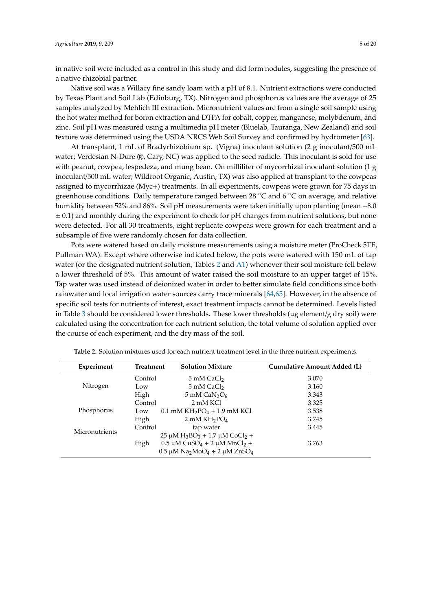in native soil were included as a control in this study and did form nodules, suggesting the presence of a native rhizobial partner.

Native soil was a Willacy fine sandy loam with a pH of 8.1. Nutrient extractions were conducted by Texas Plant and Soil Lab (Edinburg, TX). Nitrogen and phosphorus values are the average of 25 samples analyzed by Mehlich III extraction. Micronutrient values are from a single soil sample using the hot water method for boron extraction and DTPA for cobalt, copper, manganese, molybdenum, and zinc. Soil pH was measured using a multimedia pH meter (Bluelab, Tauranga, New Zealand) and soil texture was determined using the USDA NRCS Web Soil Survey and confirmed by hydrometer [\[63\]](#page-20-1).

At transplant, 1 mL of Bradyrhizobium sp. (Vigna) inoculant solution (2 g inoculant/500 mL water; Verdesian N-Dure ®, Cary, NC) was applied to the seed radicle. This inoculant is sold for use with peanut, cowpea, lespedeza, and mung bean. On milliliter of mycorrhizal inoculant solution (1 g inoculant/500 mL water; Wildroot Organic, Austin, TX) was also applied at transplant to the cowpeas assigned to mycorrhizae (Myc+) treatments. In all experiments, cowpeas were grown for 75 days in greenhouse conditions. Daily temperature ranged between 28 ◦C and 6 ◦C on average, and relative humidity between 52% and 86%. Soil pH measurements were taken initially upon planting (mean −8.0  $\pm$  0.1) and monthly during the experiment to check for pH changes from nutrient solutions, but none were detected. For all 30 treatments, eight replicate cowpeas were grown for each treatment and a subsample of five were randomly chosen for data collection.

Pots were watered based on daily moisture measurements using a moisture meter (ProCheck 5TE, Pullman WA). Except where otherwise indicated below, the pots were watered with 150 mL of tap water (or the designated nutrient solution, Tables [2](#page-5-0) and [A1\)](#page-14-0) whenever their soil moisture fell below a lower threshold of 5%. This amount of water raised the soil moisture to an upper target of 15%. Tap water was used instead of deionized water in order to better simulate field conditions since both rainwater and local irrigation water sources carry trace minerals [\[64](#page-20-2)[,65\]](#page-20-3). However, in the absence of specific soil tests for nutrients of interest, exact treatment impacts cannot be determined. Levels listed in Table [3](#page-6-0) should be considered lower thresholds. These lower thresholds ( $\mu$ g element/g dry soil) were calculated using the concentration for each nutrient solution, the total volume of solution applied over the course of each experiment, and the dry mass of the soil.

| Experiment     | <b>Treatment</b> | <b>Solution Mixture</b>                                      | Cumulative Amount Added (L) |
|----------------|------------------|--------------------------------------------------------------|-----------------------------|
|                | Control          | 5 mM CaCl <sub>2</sub>                                       | 3.070                       |
| Nitrogen       | Low              | 5 mM CaCl <sub>2</sub>                                       | 3.160                       |
|                | High             | 5 mM Ca $N_2O_6$                                             | 3.343                       |
|                | Control          | 2 mM KCl                                                     | 3.325                       |
| Phosphorus     | Low              | $0.1$ mM KH <sub>2</sub> PO <sub>4</sub> + 1.9 mM KCl        | 3.538                       |
|                | High             | 2 mM $KH_2PO_4$                                              | 3.745                       |
|                | Control          | tap water                                                    | 3.445                       |
| Micronutrients |                  | $25 \mu M H_3 BO_3 + 1.7 \mu M CoCl_2 +$                     |                             |
|                | High             | $0.5 \mu M CuSO_4 + 2 \mu M MnCl_2 +$                        | 3.763                       |
|                |                  | $0.5 \mu M \text{ Na}_2\text{MoO}_4 + 2 \mu M \text{ZnSO}_4$ |                             |

<span id="page-5-0"></span>**Table 2.** Solution mixtures used for each nutrient treatment level in the three nutrient experiments.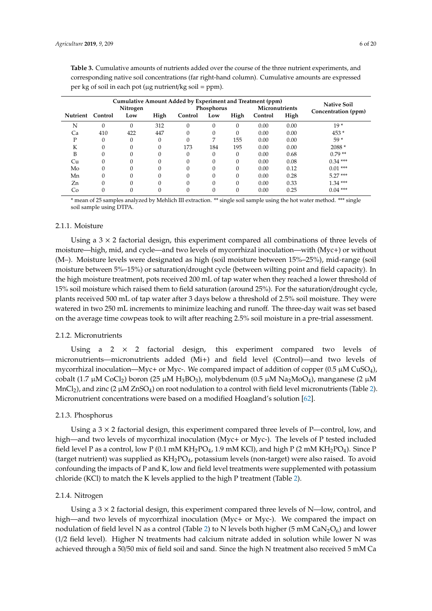| Cumulative Amount Added by Experiment and Treatment (ppm) |     |          |          |          |            |          |         |                |                                           |  |
|-----------------------------------------------------------|-----|----------|----------|----------|------------|----------|---------|----------------|-------------------------------------------|--|
|                                                           |     | Nitrogen |          |          | Phosphorus |          |         | Micronutrients | <b>Native Soil</b><br>Concentration (ppm) |  |
| Nutrient Control                                          |     | Low      | High     | Control  | Low        | High     | Control | High           |                                           |  |
| N                                                         |     | $\Omega$ | 312      | $\theta$ | $\Omega$   | $\theta$ | 0.00    | 0.00           | $19*$                                     |  |
| Ca                                                        | 410 | 422      | 447      | $\Omega$ |            | $\Omega$ | 0.00    | 0.00           | $453*$                                    |  |
| P                                                         | 0   | $\Omega$ | 0        | $\Omega$ | 7          | 155      | 0.00    | 0.00           | $59*$                                     |  |
| K                                                         |     | $\theta$ | 0        | 173      | 184        | 195      | 0.00    | 0.00           | 2088*                                     |  |
| B                                                         |     | $\Omega$ | 0        | $\theta$ | $\Omega$   | $\theta$ | 0.00    | 0.68           | $0.79**$                                  |  |
| Cu                                                        |     | $\Omega$ | 0        | $\Omega$ | $\Omega$   | $\Omega$ | 0.00    | 0.08           | $0.34***$                                 |  |
| Mo                                                        |     | $\theta$ | $\Omega$ | $\Omega$ | $\Omega$   | $\theta$ | 0.00    | 0.12           | $0.01***$                                 |  |
| Mn                                                        |     | $\Omega$ | 0        | $\Omega$ |            | $\Omega$ | 0.00    | 0.28           | $5.27***$                                 |  |
| Zn                                                        |     | $\Omega$ | $\Omega$ | $\Omega$ | $\Omega$   | $\Omega$ | 0.00    | 0.33           | $1.34***$                                 |  |
| Co                                                        |     | $\Omega$ | 0        | 0        |            | 0        | 0.00    | 0.25           | $0.04***$                                 |  |

<span id="page-6-0"></span>**Table 3.** Cumulative amounts of nutrients added over the course of the three nutrient experiments, and corresponding native soil concentrations (far right-hand column). Cumulative amounts are expressed per kg of soil in each pot ( $\mu$ g nutrient/kg soil = ppm).

\* mean of 25 samples analyzed by Mehlich III extraction. \*\* single soil sample using the hot water method. \*\*\* single soil sample using DTPA

#### 2.1.1. Moisture

Using a  $3 \times 2$  factorial design, this experiment compared all combinations of three levels of moisture—high, mid, and cycle—and two levels of mycorrhizal inoculation—with (Myc+) or without (M–). Moisture levels were designated as high (soil moisture between 15%–25%), mid-range (soil moisture between 5%–15%) or saturation/drought cycle (between wilting point and field capacity). In the high moisture treatment, pots received 200 mL of tap water when they reached a lower threshold of 15% soil moisture which raised them to field saturation (around 25%). For the saturation/drought cycle, plants received 500 mL of tap water after 3 days below a threshold of 2.5% soil moisture. They were watered in two 250 mL increments to minimize leaching and runoff. The three-day wait was set based on the average time cowpeas took to wilt after reaching 2.5% soil moisture in a pre-trial assessment.

### 2.1.2. Micronutrients

Using a  $2 \times 2$  factorial design, this experiment compared two levels of micronutrients—micronutrients added (Mi+) and field level (Control)—and two levels of mycorrhizal inoculation—Myc+ or Myc-. We compared impact of addition of copper  $(0.5 \mu M \text{CuSO}_4)$ , cobalt (1.7  $\mu$ M CoCl<sub>2</sub>) boron (25  $\mu$ M H<sub>3</sub>BO<sub>3</sub>), molybdenum (0.5  $\mu$ M Na<sub>2</sub>MoO<sub>4</sub>), manganese (2  $\mu$ M  $MnCl<sub>2</sub>$ ), and zinc (2 µM ZnSO<sub>4</sub>) on root nodulation to a control with field level micronutrients (Table [2\)](#page-5-0). Micronutrient concentrations were based on a modified Hoagland's solution [\[62\]](#page-20-0).

### 2.1.3. Phosphorus

Using a  $3 \times 2$  factorial design, this experiment compared three levels of P—control, low, and high—and two levels of mycorrhizal inoculation (Myc+ or Myc-). The levels of P tested included field level P as a control, low P (0.1 mM  $KH_2PO_4$ , 1.9 mM KCl), and high P (2 mM KH<sub>2</sub>PO<sub>4</sub>). Since P (target nutrient) was supplied as  $KH_2PO_4$ , potassium levels (non-target) were also raised. To avoid confounding the impacts of P and K, low and field level treatments were supplemented with potassium chloride (KCl) to match the K levels applied to the high P treatment (Table [2\)](#page-5-0).

# 2.1.4. Nitrogen

Using a  $3 \times 2$  factorial design, this experiment compared three levels of N—low, control, and high—and two levels of mycorrhizal inoculation (Myc+ or Myc-). We compared the impact on nodulation of field level N as a control (Table [2\)](#page-5-0) to N levels both higher (5 mM CaN<sub>2</sub>O<sub>6</sub>) and lower (1/2 field level). Higher N treatments had calcium nitrate added in solution while lower N was achieved through a 50/50 mix of field soil and sand. Since the high N treatment also received 5 mM Ca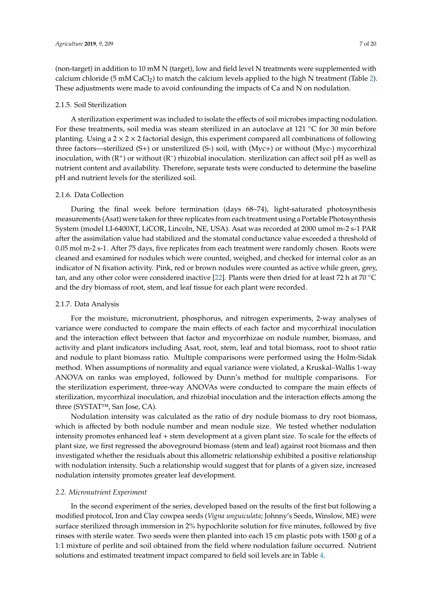(non-target) in addition to 10 mM N (target), low and field level N treatments were supplemented with calcium chloride (5 mM CaCl<sub>2</sub>) to match the calcium levels applied to the high N treatment (Table [2\)](#page-5-0). These adjustments were made to avoid confounding the impacts of Ca and N on nodulation.

## 2.1.5. Soil Sterilization

A sterilization experiment was included to isolate the effects of soil microbes impacting nodulation. For these treatments, soil media was steam sterilized in an autoclave at 121 ◦C for 30 min before planting. Using a  $2 \times 2 \times 2$  factorial design, this experiment compared all combinations of following three factors—sterilized (S+) or unsterilized (S-) soil, with (Myc+) or without (Myc-) mycorrhizal inoculation, with  $(R^+)$  or without  $(R^-)$  rhizobial inoculation. sterilization can affect soil pH as well as nutrient content and availability. Therefore, separate tests were conducted to determine the baseline pH and nutrient levels for the sterilized soil.

# 2.1.6. Data Collection

During the final week before termination (days 68–74), light-saturated photosynthesis measurements (Asat) were taken for three replicates from each treatment using a Portable Photosynthesis System (model LI-6400XT, LiCOR, Lincoln, NE, USA). Asat was recorded at 2000 umol m-2 s-1 PAR after the assimilation value had stabilized and the stomatal conductance value exceeded a threshold of 0.05 mol m-2 s-1. After 75 days, five replicates from each treatment were randomly chosen. Roots were cleaned and examined for nodules which were counted, weighed, and checked for internal color as an indicator of N fixation activity. Pink, red or brown nodules were counted as active while green, grey, tan, and any other color were considered inactive [\[22\]](#page-18-6). Plants were then dried for at least 72 h at 70 ◦C and the dry biomass of root, stem, and leaf tissue for each plant were recorded.

# 2.1.7. Data Analysis

For the moisture, micronutrient, phosphorus, and nitrogen experiments, 2-way analyses of variance were conducted to compare the main effects of each factor and mycorrhizal inoculation and the interaction effect between that factor and mycorrhizae on nodule number, biomass, and activity and plant indicators including Asat, root, stem, leaf and total biomass, root to shoot ratio and nodule to plant biomass ratio. Multiple comparisons were performed using the Holm-Sidak method. When assumptions of normality and equal variance were violated, a Kruskal–Wallis 1-way ANOVA on ranks was employed, followed by Dunn's method for multiple comparisons. For the sterilization experiment, three-way ANOVAs were conducted to compare the main effects of sterilization, mycorrhizal inoculation, and rhizobial inoculation and the interaction effects among the three (SYSTAT™, San Jose, CA).

Nodulation intensity was calculated as the ratio of dry nodule biomass to dry root biomass, which is affected by both nodule number and mean nodule size. We tested whether nodulation intensity promotes enhanced leaf + stem development at a given plant size. To scale for the effects of plant size, we first regressed the aboveground biomass (stem and leaf) against root biomass and then investigated whether the residuals about this allometric relationship exhibited a positive relationship with nodulation intensity. Such a relationship would suggest that for plants of a given size, increased nodulation intensity promotes greater leaf development.

### *2.2. Micronutrient Experiment*

In the second experiment of the series, developed based on the results of the first but following a modified protocol, Iron and Clay cowpea seeds (*Vigna unguiculata*; Johnny's Seeds, Winslow, ME) were surface sterilized through immersion in 2% hypochlorite solution for five minutes, followed by five rinses with sterile water. Two seeds were then planted into each 15 cm plastic pots with 1500 g of a 1:1 mixture of perlite and soil obtained from the field where nodulation failure occurred. Nutrient solutions and estimated treatment impact compared to field soil levels are in Table [4.](#page-8-0)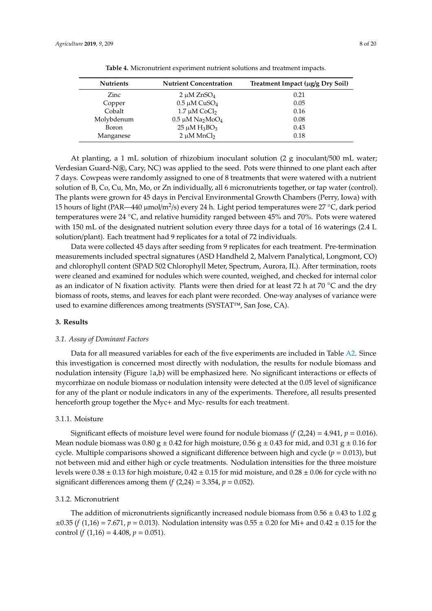<span id="page-8-0"></span>

| <b>Nutrients</b> | <b>Nutrient Concentration</b>        | Treatment Impact (µg/g Dry Soil) |
|------------------|--------------------------------------|----------------------------------|
| Zinc.            | $2 \mu M ZnSO4$                      | 0.21                             |
| Copper           | $0.5 \mu M$ CuSO <sub>4</sub>        | 0.05                             |
| Cobalt           | $1.7 \mu M$ CoCl <sub>2</sub>        | 0.16                             |
| Molybdenum       | $0.5 \mu M \text{ Na}_2\text{MoO}_4$ | 0.08                             |
| Boron            | $25 \mu M H_3 BO_3$                  | 0.43                             |
| Manganese        | $2 \mu M MnCl2$                      | 0.18                             |

**Table 4.** Micronutrient experiment nutrient solutions and treatment impacts.

At planting, a 1 mL solution of rhizobium inoculant solution (2 g inoculant/500 mL water; Verdesian Guard-N®, Cary, NC) was applied to the seed. Pots were thinned to one plant each after 7 days. Cowpeas were randomly assigned to one of 8 treatments that were watered with a nutrient solution of B, Co, Cu, Mn, Mo, or Zn individually, all 6 micronutrients together, or tap water (control). The plants were grown for 45 days in Percival Environmental Growth Chambers (Perry, Iowa) with 15 hours of light (PAR—440 μmol/m<sup>2</sup>/s) every 24 h. Light period temperatures were 27 °C, dark period temperatures were 24 ◦C, and relative humidity ranged between 45% and 70%. Pots were watered with 150 mL of the designated nutrient solution every three days for a total of 16 waterings (2.4 L solution/plant). Each treatment had 9 replicates for a total of 72 individuals.

Data were collected 45 days after seeding from 9 replicates for each treatment. Pre-termination measurements included spectral signatures (ASD Handheld 2, Malvern Panalytical, Longmont, CO) and chlorophyll content (SPAD 502 Chlorophyll Meter, Spectrum, Aurora, IL). After termination, roots were cleaned and examined for nodules which were counted, weighed, and checked for internal color as an indicator of N fixation activity. Plants were then dried for at least 72 h at 70 ◦C and the dry biomass of roots, stems, and leaves for each plant were recorded. One-way analyses of variance were used to examine differences among treatments (SYSTAT™, San Jose, CA).

## **3. Results**

#### *3.1. Assay of Dominant Factors*

Data for all measured variables for each of the five experiments are included in Table [A2.](#page-15-0) Since this investigation is concerned most directly with nodulation, the results for nodule biomass and nodulation intensity (Figure [1a](#page-9-0),b) will be emphasized here. No significant interactions or effects of mycorrhizae on nodule biomass or nodulation intensity were detected at the 0.05 level of significance for any of the plant or nodule indicators in any of the experiments. Therefore, all results presented henceforth group together the Myc+ and Myc- results for each treatment.

#### 3.1.1. Moisture

Significant effects of moisture level were found for nodule biomass  $(f(2,24) = 4.941, p = 0.016)$ . Mean nodule biomass was  $0.80$  g  $\pm$  0.42 for high moisture,  $0.56$  g  $\pm$  0.43 for mid, and  $0.31$  g  $\pm$  0.16 for cycle. Multiple comparisons showed a significant difference between high and cycle (*p* = 0.013), but not between mid and either high or cycle treatments. Nodulation intensities for the three moisture levels were  $0.38 \pm 0.13$  for high moisture,  $0.42 \pm 0.15$  for mid moisture, and  $0.28 \pm 0.06$  for cycle with no significant differences among them  $(f (2,24) = 3.354, p = 0.052)$ .

#### 3.1.2. Micronutrient

The addition of micronutrients significantly increased nodule biomass from  $0.56 \pm 0.43$  to  $1.02$  g  $\pm 0.35$  (*f* (1,16) = 7.671, *p* = 0.013). Nodulation intensity was  $0.55 \pm 0.20$  for Mi+ and  $0.42 \pm 0.15$  for the control (*f*  $(1,16) = 4.408$ ,  $p = 0.051$ ).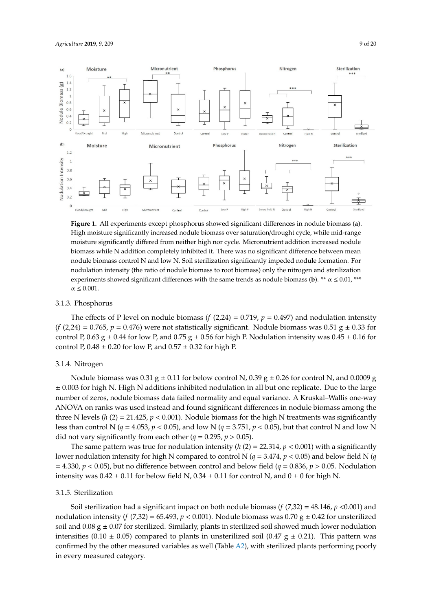<span id="page-9-0"></span>

Figure 1. All experiments except phosphorus showed significant differences in nodule biomass (a). 308 High moisture significantly increased nodule biomass over saturation/drought cycle, while mid-High moisture significantly increased nodule biomass over saturation/drought cycle, while mid-range 309 range moisture significantly differed from neither high nor cycle. Micronutrient addition increased moisture significantly differed from neither high nor cycle. Micronutrient addition increased nodule 310 nodule biomass while N addition completely inhibited it. There was no significant difference between biomass while N addition completely inhibited it. There was no significant difference between mean 311 mean nodule biomass control N and low N. Soil sterilization significantly impeded nodule formation. nodule biomass control N and low N. Soil sterilization significantly impeded nodule formation. For 312 For nodulation intensity (the ratio of nodule biomass to root biomass) only the nitrogen and nodulation intensity (the ratio of nodule biomass to root biomass) only the nitrogen and sterilization experiments showed significant differences with the same trends as nodule biomass (**b**). \*\*  $\alpha \le 0.01$ , \*\*\*  $\alpha \leq 0.001$ .

#### 3.1.3. Phosphorus

The effects of P level on nodule biomass ( $f(2,24) = 0.719$ ,  $p = 0.497$ ) and nodulation intensity (*f* (2,24) = 0.765,  $p = 0.476$ ) were not statistically significant. Nodule biomass was 0.51 g  $\pm$  0.33 for control P, 0.63 g  $\pm$  0.44 for low P, and 0.75 g  $\pm$  0.56 for high P. Nodulation intensity was 0.45  $\pm$  0.16 for control P,  $0.48 \pm 0.20$  for low P, and  $0.57 \pm 0.32$  for high P.

# 3.1.4. Nitrogen

Nodule biomass was 0.31 g  $\pm$  0.11 for below control N, 0.39 g  $\pm$  0.26 for control N, and 0.0009 g  $\pm$  0.003 for high N. High N additions inhibited nodulation in all but one replicate. Due to the large number of zeros, nodule biomass data failed normality and equal variance. A Kruskal–Wallis one-way ANOVA on ranks was used instead and found significant differences in nodule biomass among the three N levels (*h* (2) = 21.425, *p* < 0.001). Nodule biomass for the high N treatments was significantly less than control N ( $q = 4.053$ ,  $p < 0.05$ ), and low N ( $q = 3.751$ ,  $p < 0.05$ ), but that control N and low N did not vary significantly from each other ( $q = 0.295$ ,  $p > 0.05$ ).

The same pattern was true for nodulation intensity  $(h(2) = 22.314, p < 0.001)$  with a significantly lower nodulation intensity for high N compared to control N (*q* = 3.474, *p* < 0.05) and below field N (*q*  $= 4.330, p < 0.05$ ), but no difference between control and below field ( $q = 0.836, p > 0.05$ . Nodulation intensity was  $0.42 \pm 0.11$  for below field N,  $0.34 \pm 0.11$  for control N, and  $0 \pm 0$  for high N.

#### 3.1.5. Sterilization

Soil sterilization had a significant impact on both nodule biomass (*f* (7,32) = 48.146, *p* <0.001) and nodulation intensity (*f* (7,32) = 65.493,  $p < 0.001$ ). Nodule biomass was 0.70  $g \pm 0.42$  for unsterilized soil and 0.08  $g \pm 0.07$  for sterilized. Similarly, plants in sterilized soil showed much lower nodulation intensities (0.10  $\pm$  0.05) compared to plants in unsterilized soil (0.47 g  $\pm$  0.21). This pattern was confirmed by the other measured variables as well (Table [A2\)](#page-15-0), with sterilized plants performing poorly in every measured category.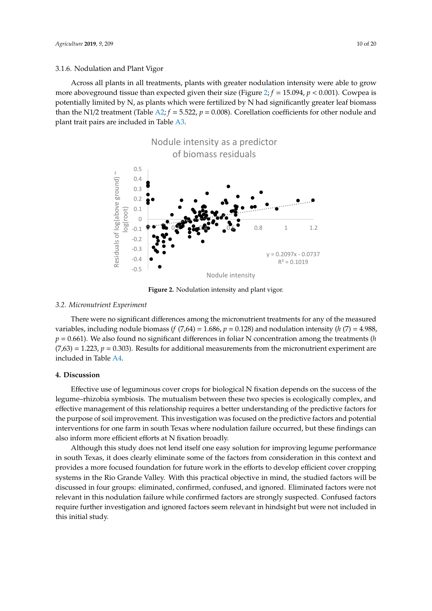Across all plants in all treatments, plants with greater nodulation intensity were able to grow more aboveground tissue than expected given their size (Figure [2;](#page-10-0)  $f = 15.094$ ,  $p < 0.001$ ). Cowpea is potentially limited by N, as plants which were fertilized by N had significantly greater leaf biomass than the N1/2 treatment (Table [A2;](#page-15-0)  $f = 5.522$ ,  $p = 0.008$ ). Corellation coefficients for other nodule and plant trait pairs are included in Table [A3.](#page-15-1)

<span id="page-10-0"></span>

**Figure 2.** Nodulation intensity and plant vigor.

#### 358 **Figure 2.** Nodulation intensity and plant vigor. *3.2. Micronutrient Experiment*

 $p = 0.661$ ). We also found no significant differences in foliar N concentration among the treatments (*h*  $(7,63) = 1.223$ ,  $p = 0.303$ ). Results for additional measurements from the micronutrient experiment are 362 measured variables, including nodule biomass (*f* (7,64) = 1.686, *p* = 0.128) and nodulation intensity (*h* included in Table [A4.](#page-16-0) There were no significant differences among the micronutrient treatments for any of the measured variables, including nodule biomass ( $f$  (7,64) = 1.686,  $p$  = 0.128) and nodulation intensity ( $h$  (7) = 4.988,

#### 363 (7) = 4.988, *p* = 0.661). We also found no significant differences in foliar N concentration among the 364 treatments (*h* (7,63) = 1.223, *p* = 0.303). Results for additional measurements from the micronutrient **4. Discussion**

Effective use of leguminous cover crops for biological N fixation depends on the success of the effective management of this relationship requires a better understanding of the predictive factors for the purpose of soil improvement. This investigation was focused on the predictive factors and potential interventions for one farm in south Texas where nodulation failure occurred, but these findings can also inform more efficient efforts at N fixation broadly. legume–rhizobia symbiosis. The mutualism between these two species is ecologically complex, and

Although this study does not lend itself one easy solution for improving legume performance in south Texas, it does clearly eliminate some of the factors from consideration in this context and provides a more focused foundation for future work in the efforts to develop efficient cover cropping systems in the Rio Grande Valley. With this practical objective in mind, the studied factors will be discussed in four groups: eliminated, confirmed, confused, and ignored. Eliminated factors were not relevant in this nodulation failure while confirmed factors are strongly suspected. Confused factors require further investigation and ignored factors seem relevant in hindsight but were not included in this initial study. Eliminated, confirmed, and ignored. Eliminated, and ignored. Eliminated factors were not i this initial study.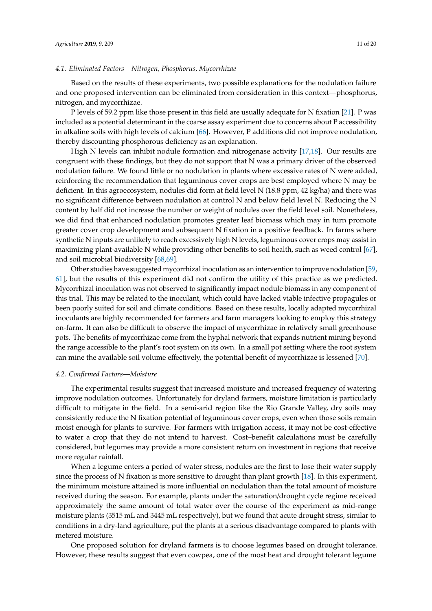Based on the results of these experiments, two possible explanations for the nodulation failure and one proposed intervention can be eliminated from consideration in this context—phosphorus, nitrogen, and mycorrhizae.

P levels of 59.2 ppm like those present in this field are usually adequate for N fixation [\[21\]](#page-18-18). P was included as a potential determinant in the coarse assay experiment due to concerns about P accessibility in alkaline soils with high levels of calcium [\[66\]](#page-20-4). However, P additions did not improve nodulation, thereby discounting phosphorous deficiency as an explanation.

High N levels can inhibit nodule formation and nitrogenase activity [\[17,](#page-18-22)[18\]](#page-18-11). Our results are congruent with these findings, but they do not support that N was a primary driver of the observed nodulation failure. We found little or no nodulation in plants where excessive rates of N were added, reinforcing the recommendation that leguminous cover crops are best employed where N may be deficient. In this agroecosystem, nodules did form at field level N (18.8 ppm, 42 kg/ha) and there was no significant difference between nodulation at control N and below field level N. Reducing the N content by half did not increase the number or weight of nodules over the field level soil. Nonetheless, we did find that enhanced nodulation promotes greater leaf biomass which may in turn promote greater cover crop development and subsequent N fixation in a positive feedback. In farms where synthetic N inputs are unlikely to reach excessively high N levels, leguminous cover crops may assist in maximizing plant-available N while providing other benefits to soil health, such as weed control [\[67\]](#page-20-5), and soil microbial biodiversity [\[68](#page-20-6)[,69\]](#page-20-7).

Other studies have suggested mycorrhizal inoculation as an intervention to improve nodulation [\[59,](#page-19-19) [61\]](#page-19-21), but the results of this experiment did not confirm the utility of this practice as we predicted. Mycorrhizal inoculation was not observed to significantly impact nodule biomass in any component of this trial. This may be related to the inoculant, which could have lacked viable infective propagules or been poorly suited for soil and climate conditions. Based on these results, locally adapted mycorrhizal inoculants are highly recommended for farmers and farm managers looking to employ this strategy on-farm. It can also be difficult to observe the impact of mycorrhizae in relatively small greenhouse pots. The benefits of mycorrhizae come from the hyphal network that expands nutrient mining beyond the range accessible to the plant's root system on its own. In a small pot setting where the root system can mine the available soil volume effectively, the potential benefit of mycorrhizae is lessened [\[70\]](#page-20-8).

#### *4.2. Confirmed Factors—Moisture*

The experimental results suggest that increased moisture and increased frequency of watering improve nodulation outcomes. Unfortunately for dryland farmers, moisture limitation is particularly difficult to mitigate in the field. In a semi-arid region like the Rio Grande Valley, dry soils may consistently reduce the N fixation potential of leguminous cover crops, even when those soils remain moist enough for plants to survive. For farmers with irrigation access, it may not be cost-effective to water a crop that they do not intend to harvest. Cost–benefit calculations must be carefully considered, but legumes may provide a more consistent return on investment in regions that receive more regular rainfall.

When a legume enters a period of water stress, nodules are the first to lose their water supply since the process of N fixation is more sensitive to drought than plant growth [\[18\]](#page-18-11). In this experiment, the minimum moisture attained is more influential on nodulation than the total amount of moisture received during the season. For example, plants under the saturation/drought cycle regime received approximately the same amount of total water over the course of the experiment as mid-range moisture plants (3515 mL and 3445 mL respectively), but we found that acute drought stress, similar to conditions in a dry-land agriculture, put the plants at a serious disadvantage compared to plants with metered moisture.

One proposed solution for dryland farmers is to choose legumes based on drought tolerance. However, these results suggest that even cowpea, one of the most heat and drought tolerant legume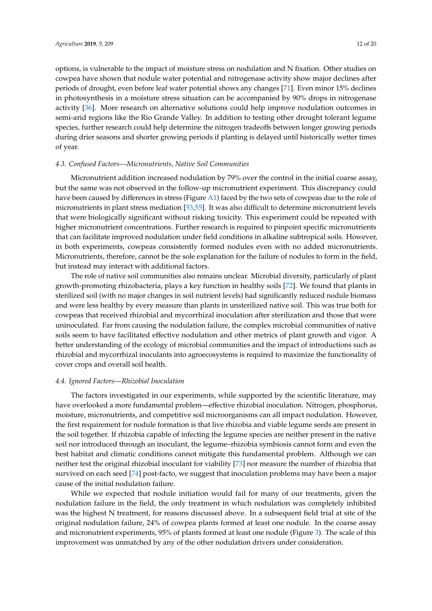options, is vulnerable to the impact of moisture stress on nodulation and N fixation. Other studies on cowpea have shown that nodule water potential and nitrogenase activity show major declines after periods of drought, even before leaf water potential shows any changes [\[71\]](#page-20-9). Even minor 15% declines in photosynthesis in a moisture stress situation can be accompanied by 90% drops in nitrogenase activity [\[36\]](#page-18-23). More research on alternative solutions could help improve nodulation outcomes in semi-arid regions like the Rio Grande Valley. In addition to testing other drought tolerant legume species, further research could help determine the nitrogen tradeoffs between longer growing periods during drier seasons and shorter growing periods if planting is delayed until historically wetter times of year.

#### *4.3. Confused Factors—Micronutrients, Native Soil Communities*

Micronutrient addition increased nodulation by 79% over the control in the initial coarse assay, but the same was not observed in the follow-up micronutrient experiment. This discrepancy could have been caused by differences in stress (Figure [A1\)](#page-17-13) faced by the two sets of cowpeas due to the role of micronutrients in plant stress mediation [\[53,](#page-19-13)[55\]](#page-19-15). It was also difficult to determine micronutrient levels that were biologically significant without risking toxicity. This experiment could be repeated with higher micronutrient concentrations. Further research is required to pinpoint specific micronutrients that can facilitate improved nodulation under field conditions in alkaline subtropical soils. However, in both experiments, cowpeas consistently formed nodules even with no added micronutrients. Micronutrients, therefore, cannot be the sole explanation for the failure of nodules to form in the field, but instead may interact with additional factors.

The role of native soil communities also remains unclear. Microbial diversity, particularly of plant growth-promoting rhizobacteria, plays a key function in healthy soils [\[72\]](#page-20-10). We found that plants in sterilized soil (with no major changes in soil nutrient levels) had significantly reduced nodule biomass and were less healthy by every measure than plants in unsterilized native soil. This was true both for cowpeas that received rhizobial and mycorrhizal inoculation after sterilization and those that were uninoculated. Far from causing the nodulation failure, the complex microbial communities of native soils seem to have facilitated effective nodulation and other metrics of plant growth and vigor. A better understanding of the ecology of microbial communities and the impact of introductions such as rhizobial and mycorrhizal inoculants into agroecosystems is required to maximize the functionality of cover crops and overall soil health.

#### *4.4. Ignored Factors—Rhizobial Inoculation*

The factors investigated in our experiments, while supported by the scientific literature, may have overlooked a more fundamental problem—effective rhizobial inoculation. Nitrogen, phosphorus, moisture, micronutrients, and competitive soil microorganisms can all impact nodulation. However, the first requirement for nodule formation is that live rhizobia and viable legume seeds are present in the soil together. If rhizobia capable of infecting the legume species are neither present in the native soil nor introduced through an inoculant, the legume–rhizobia symbiosis cannot form and even the best habitat and climatic conditions cannot mitigate this fundamental problem. Although we can neither test the original rhizobial inoculant for viability [\[73\]](#page-20-11) nor measure the number of rhizobia that survived on each seed [\[74\]](#page-20-12) post-facto, we suggest that inoculation problems may have been a major cause of the initial nodulation failure.

While we expected that nodule initiation would fail for many of our treatments, given the nodulation failure in the field, the only treatment in which nodulation was completely inhibited was the highest N treatment, for reasons discussed above. In a subsequent field trial at site of the original nodulation failure, 24% of cowpea plants formed at least one nodule. In the coarse assay and micronutrient experiments, 95% of plants formed at least one nodule (Figure [3\)](#page-13-0). The scale of this improvement was unmatched by any of the other nodulation drivers under consideration.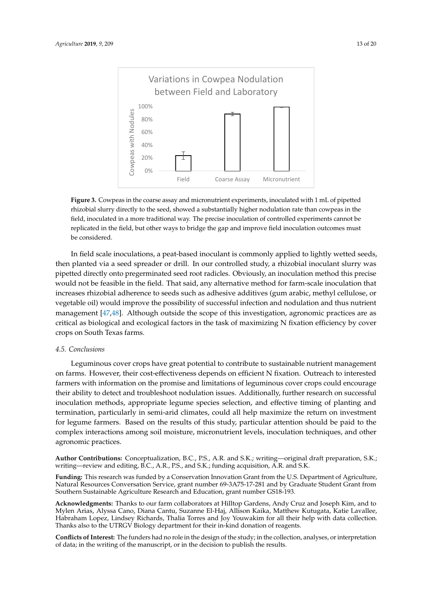<span id="page-13-0"></span>

479 **Figure 3.** Cowpeas in the coarse assay and micronutrient experiments, inoculated with 1 mL of **Figure 3.** Cowpeas in the coarse assay and micronutrient experiments, inoculated with 1 mL of pipetted rhizobial slurry directly to the seed, showed a substantially higher nodulation rate than cowpeas in the field, inoculated in a more traditional way. The precise inoculation of controlled experiments cannot be replicated in the field, but other ways to bridge the gap and improve field inoculation outcomes must be considered. be considered.

then planted via a seed spreader or drill. In our controlled study, a rhizobial inoculant slurry was then planted via a seed spreader or drill. In our controlled study, a rhizobial inoculant slurry was 485 then planted via a seed spreader or drill. In our controlled study, a rhizobial inoculant slurry was pipetted directly onto pregerminated seed root radicles. Obviously, an inoculation method this precise 486 pipetted directly onto pregerminated seed root radicles. Obviously, an inoculation method this would not be feasible in the field. That said, any alternative method for farm-scale inoculation that would not be feasible in the field. That said, any alternative include for farm-scale inoculation that<br>increases rhizobial adherence to seeds such as adhesive additives (gum arabic, methyl cellulose, or mercases rhizobial adherence to seeds such as adhesive additives (gum arabic, methyl centiose, or<br>vegetable oil) would improve the possibility of successful infection and nodulation and thus nutrient 489 or vegetable oil) would improve the possibility of successful infection and nodulation and thus management [\[47,](#page-19-7)[48\]](#page-19-8). Although outside the scope of this investigation, agronomic practices are as critical as biological and ecological factors in the task of maximizing N fixation efficiency by cover 492 cover crops on South Texas farms. crops on South Texas farms. In field scale inoculations, a peat-based inoculant is commonly applied to lightly wetted seeds,

# *4.5. Conclusions*

on farms. However, their cost-effectiveness depends on efficient N fixation. Outreach to interested farmers with information on the promise and limitations of leguminous cover crops could encourage their ability to detect and troubleshoot nodulation issues. Additionally, further research on successful inoculation methods, appropriate legume species selection, and effective timing of planting and termination, particularly in semi-arid climates, could all help maximize the return on investment for legume farmers. Based on the results of this study, particular attention should be paid to the  $\frac{1}{2}$  complex interactions among soil moisture, micronutriont levels, inequalation to the paid of the complex interactions at  $\alpha$ complex interactions among soil moisture, micronutrient levels, inoculation techniques, and other agronomic practices agronomic practices. Leguminous cover crops have great potential to contribute to sustainable nutrient management

**Author Contributions:** Conceptualization, B.C., P.S., A.R. and S.K.; writing—original draft preparation, S.K.;<br>writing \_roview and editing B.C. A.B. BS. and S.K.; funding acquisition, A.B. and S.K. writing—review and editing, B.C., A.R., P.S., and S.K.; funding acquisition, A.R. and S.K.

Natural Resources Conversation Service, grant number 69-3A75-17-281 and by Graduate Student Grant from Southern Sustainable Agriculture Research and Education, grant number GS18-193. **Funding:** This research was funded by a Conservation Innovation Grant from the U.S. Department of Agriculture,

Acknowledgments: Thanks to our farm collaborators at Hilltop Gardens, Andy Cruz and Joseph Kim, and to Mylen Arias, Alyssa Cano, Diana Cantu, Suzanne El-Haj, Allison Kaika, Matthew Kutugata, Katie Lavallee,<br>Hahrabam Lopez, Lindsov Bisharda, Thalia Tarree and Joy Youyakim for all their help with data cellection. Frabraham Ebpez, Entusty Kichards, Thana Torres and Joy Touwakin for an their help whit data concederi.<br>Thanks also to the UTRGV Biology department for their in-kind donation of reagents. Habraham Lopez, Lindsey Richards, Thalia Torres and Joy Youwakim for all their help with data collection.

 $\frac{1}{2}$  Habraham Lopez, Lindsey Richards, Thalia Torres and Joy Youwakim for all their help with data collection. The collection of all their help with data collection. The collection of all their help with data collect **Conflicts of Interest:** The funders had no role in the design of the study; in the collection, analyses, or interpretation of data in the uniting of the manuscript, or in the design to publish the results. of data; in the writing of the manuscript, or in the decision to publish the results.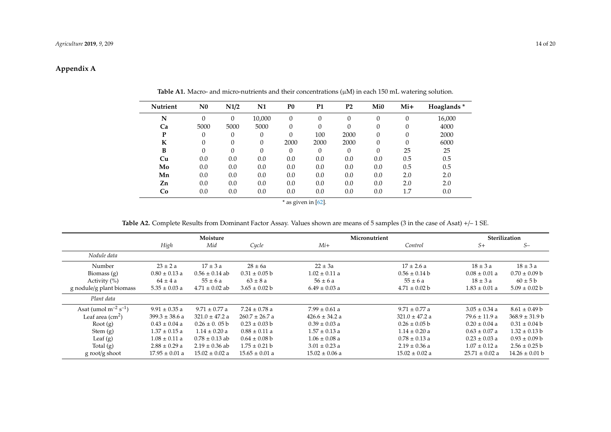# **Appendix A**

| Nutrient | N0             | N1/2     | N1       | P <sub>0</sub> | <b>P1</b> | P2   | Mi0 | Mi+            | Hoaglands* |
|----------|----------------|----------|----------|----------------|-----------|------|-----|----------------|------------|
| N        | $\overline{0}$ | $\Omega$ | 10,000   | $\mathbf{0}$   | 0         | 0    | 0   | $\overline{0}$ | 16,000     |
| Ca       | 5000           | 5000     | 5000     | $\theta$       |           | 0    | 0   | $\overline{0}$ | 4000       |
| D        | 0              | $\Omega$ | $\Omega$ | $\theta$       | 100       | 2000 | 0   | $\Omega$       | 2000       |
| K        | $\theta$       | $\Omega$ | $\theta$ | 2000           | 2000      | 2000 | 0   | $\Omega$       | 6000       |
| B        | $\Omega$       | $\Omega$ | $\theta$ | $\Omega$       | 0         | 0    | 0   | 25             | 25         |
| Cu       | 0.0            | 0.0      | 0.0      | 0.0            | 0.0       | 0.0  | 0.0 | 0.5            | 0.5        |
| Mo       | 0.0            | 0.0      | 0.0      | 0.0            | 0.0       | 0.0  | 0.0 | 0.5            | 0.5        |
| Mn       | 0.0            | 0.0      | 0.0      | 0.0            | 0.0       | 0.0  | 0.0 | 2.0            | 2.0        |
| Zn       | 0.0            | 0.0      | 0.0      | 0.0            | 0.0       | 0.0  | 0.0 | 2.0            | 2.0        |
| Co       | 0.0            | 0.0      | 0.0      | 0.0            | 0.0       | 0.0  | 0.0 | 1.7            | 0.0        |
|          |                |          |          |                |           |      |     |                |            |

Table A1. Macro- and micro-nutrients and their concentrations ( $\mu$ M) in each 150 mL watering solution.

 $*$  as given in [\[62\]](#page-20-13).

**Table A2.** Complete Results from Dominant Factor Assay. Values shown are means of 5 samples (3 in the case of Asat) +/– 1 SE.

<span id="page-14-0"></span>

|                              |                    | Moisture           |                    |                    | Micronutrient      |                    |                    |  |
|------------------------------|--------------------|--------------------|--------------------|--------------------|--------------------|--------------------|--------------------|--|
|                              | High               | Mid                | Cycle              | $Mi+$              | Control            | $S+$               | $S-$               |  |
| Nodule data                  |                    |                    |                    |                    |                    |                    |                    |  |
| Number                       | $23 \pm 2 a$       | $17 \pm 3a$        | $28 \pm 6a$        | $22 \pm 3a$        | $17 \pm 2.6$ a     | $18 \pm 3 a$       | $18 \pm 3 a$       |  |
| Biomass $(g)$                | $0.80 \pm 0.13$ a  | $0.56 \pm 0.14$ ab | $0.31 \pm 0.05$ b  | $1.02 \pm 0.11$ a  | $0.56 \pm 0.14 b$  | $0.08 \pm 0.01$ a  | $0.70 \pm 0.09 b$  |  |
| Activity $(\%)$              | $64 \pm 4$ a       | $55 \pm 6a$        | $63 \pm 8$ a       | $56 \pm 6a$        | $55 \pm 6a$        | $18 \pm 3a$        | $60 \pm 5 b$       |  |
| g nodule/g plant biomass     | $5.35 \pm 0.03$ a  | $4.71 \pm 0.02$ ab | $3.65 \pm 0.02$ b  | $6.49 \pm 0.03$ a  | $4.71 \pm 0.02$ b  | $1.83 \pm 0.01$ a  | $5.09 \pm 0.02$ b  |  |
| Plant data                   |                    |                    |                    |                    |                    |                    |                    |  |
| Asat (umol $m^{-2} s^{-1}$ ) | $9.91 \pm 0.35$ a  | $9.71 \pm 0.77$ a  | $7.24 \pm 0.78$ a  | $7.99 \pm 0.61$ a  | $9.71 \pm 0.77$ a  | $3.05 \pm 0.34$ a  | $8.61 \pm 0.49$ b  |  |
| Leaf area $\rm (cm^2)$       | $399.3 \pm 38.6$ a | $321.0 \pm 47.2$ a | $260.7 \pm 26.7$ a | $426.6 \pm 34.2$ a | $321.0 \pm 47.2$ a | $79.6 \pm 11.9$ a  | $368.9 \pm 31.9 b$ |  |
| Root $(g)$                   | $0.43 \pm 0.04$ a  | $0.26 \pm 0.05$ b  | $0.23 \pm 0.03$ b  | $0.39 \pm 0.03$ a  | $0.26 \pm 0.05$ b  | $0.20 \pm 0.04$ a  | $0.31 \pm 0.04$ b  |  |
| Stem $(g)$                   | $1.37 \pm 0.15$ a  | $1.14 \pm 0.20$ a  | $0.88 \pm 0.11$ a  | $1.57 \pm 0.13$ a  | $1.14 \pm 0.20$ a  | $0.63 \pm 0.07$ a  | $1.32 \pm 0.13$ b  |  |
| Leaf $(g)$                   | $1.08 \pm 0.11$ a  | $0.78 \pm 0.13$ ab | $0.64 \pm 0.08$ b  | $1.06 \pm 0.08$ a  | $0.78 \pm 0.13$ a  | $0.23 \pm 0.03$ a  | $0.93 \pm 0.09 b$  |  |
| Total $(g)$                  | $2.88 \pm 0.29$ a  | $2.19 \pm 0.36$ ab | $1.75 \pm 0.21$ b  | $3.01 \pm 0.23$ a  | $2.19 \pm 0.36$ a  | $1.07 \pm 0.12$ a  | $2.56 \pm 0.25$ b  |  |
| $g \text{root/g}$ shoot      | $17.95 \pm 0.01$ a | $15.02 \pm 0.02$ a | $15.65 \pm 0.01$ a | $15.02 \pm 0.06$ a | $15.02 \pm 0.02$ a | $25.71 \pm 0.02$ a | $14.26 \pm 0.01$ b |  |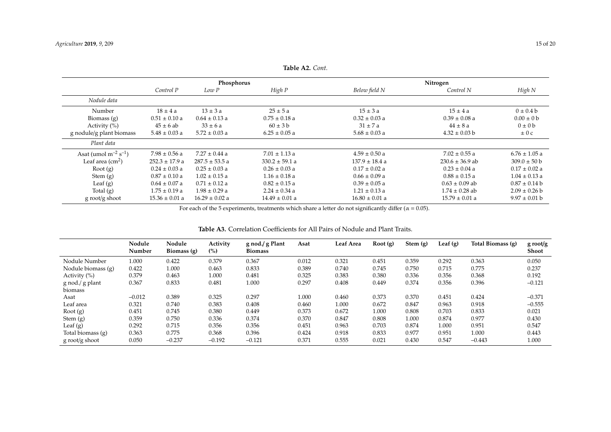| $1001C$ $\Lambda$ . $C$ <i>UIII.</i>  |                    |                    |                    |                    |                     |                   |  |  |  |  |
|---------------------------------------|--------------------|--------------------|--------------------|--------------------|---------------------|-------------------|--|--|--|--|
|                                       |                    | Phosphorus         |                    |                    | Nitrogen            |                   |  |  |  |  |
|                                       | Control P          | Low P              | High P             | Below field N      | Control N           | High N            |  |  |  |  |
| Nodule data                           |                    |                    |                    |                    |                     |                   |  |  |  |  |
| Number                                | $18 \pm 4 a$       | $13 \pm 3 a$       | $25 \pm 5 a$       | $15 \pm 3a$        | $15 \pm 4$ a        | $0 \pm 0.4 b$     |  |  |  |  |
| Biomass $(g)$                         | $0.51 \pm 0.10$ a  | $0.64 \pm 0.13$ a  | $0.75 \pm 0.18$ a  | $0.32 \pm 0.03$ a  | $0.39 \pm 0.08$ a   | $0.00 \pm 0$ b    |  |  |  |  |
| Activity $(\%)$                       | $45 \pm 6$ ab      | $33 \pm 6 a$       | $60 \pm 3$ b       | $31 \pm 7$ a       | $44 \pm 8$ a        | $0 \pm 0$ b       |  |  |  |  |
| g nodule/g plant biomass              | $5.48 \pm 0.03$ a  | $5.72 \pm 0.03$ a  | $6.25 \pm 0.05$ a  | $5.68 \pm 0.03$ a  | $4.32 \pm 0.03$ b   | $\pm 0c$          |  |  |  |  |
| Plant data                            |                    |                    |                    |                    |                     |                   |  |  |  |  |
| Asat (umol $m^{-2}$ s <sup>-1</sup> ) | $7.98 \pm 0.56$ a  | $7.27 \pm 0.44$ a  | $7.01 \pm 1.13$ a  | $4.59 \pm 0.50$ a  | $7.02 \pm 0.55$ a   | $6.76 \pm 1.05$ a |  |  |  |  |
| Leaf area $\rm (cm^2)$                | $252.3 \pm 17.9$ a | $287.5 \pm 53.5 a$ | $330.2 \pm 59.1$ a | $137.9 \pm 18.4$ a | $230.6 \pm 36.9$ ab | $309.0 \pm 50 b$  |  |  |  |  |
| Root $(g)$                            | $0.24 \pm 0.03$ a  | $0.25 \pm 0.03$ a  | $0.26 \pm 0.03$ a  | $0.17 \pm 0.02$ a  | $0.23 \pm 0.04$ a   | $0.17 \pm 0.02$ a |  |  |  |  |
| Stem $(g)$                            | $0.87 \pm 0.10$ a  | $1.02 \pm 0.15$ a  | $1.16 \pm 0.18$ a  | $0.66 \pm 0.09$ a  | $0.88 \pm 0.15$ a   | $1.04 \pm 0.13$ a |  |  |  |  |
| Leaf $(g)$                            | $0.64 \pm 0.07$ a  | $0.71 \pm 0.12$ a  | $0.82 \pm 0.15$ a  | $0.39 \pm 0.05$ a  | $0.63 \pm 0.09$ ab  | $0.87 \pm 0.14$ b |  |  |  |  |
| Total $(g)$                           | $1.75 \pm 0.19$ a  | $1.98 \pm 0.29$ a  | $2.24 \pm 0.34$ a  | $1.21 \pm 0.13$ a  | $1.74 \pm 0.28$ ab  | $2.09 \pm 0.26$ b |  |  |  |  |
| $g \text{root/g}$ shoot               | $15.36 \pm 0.01$ a | $16.29 \pm 0.02$ a | $14.49 \pm 0.01$ a | $16.80 \pm 0.01$ a | $15.79 \pm 0.01$ a  | $9.97 \pm 0.01$ b |  |  |  |  |

**Table A2.** *Cont.*

For each of the 5 experiments, treatments which share a letter do not significantly differ ( $\alpha$  = 0.05).

| <b>Table A3.</b> Correlation Coefficients for All Pairs of Nodule and Plant Traits. |
|-------------------------------------------------------------------------------------|
|-------------------------------------------------------------------------------------|

<span id="page-15-1"></span><span id="page-15-0"></span>

|                    | Nodule<br>Number | Nodule<br>Biomass (g) | Activity<br>(%) | g nod./ g Plant<br><b>Biomass</b> | Asat  | <b>Leaf Area</b> | Root (g) | Stem (g) | Leaf (g) | Total Biomass (g) | $g \text{ root}/g$<br>Shoot |
|--------------------|------------------|-----------------------|-----------------|-----------------------------------|-------|------------------|----------|----------|----------|-------------------|-----------------------------|
| Nodule Number      | 1.000            | 0.422                 | 0.379           | 0.367                             | 0.012 | 0.321            | 0.451    | 0.359    | 0.292    | 0.363             | 0.050                       |
| Nodule biomass (g) | 0.422            | 1.000                 | 0.463           | 0.833                             | 0.389 | 0.740            | 0.745    | 0.750    | 0.715    | 0.775             | 0.237                       |
| Activity $(\%)$    | 0.379            | 0.463                 | 1.000           | 0.481                             | 0.325 | 0.383            | 0.380    | 0.336    | 0.356    | 0.368             | 0.192                       |
| g nod./ g plant    | 0.367            | 0.833                 | 0.481           | 1.000                             | 0.297 | 0.408            | 0.449    | 0.374    | 0.356    | 0.396             | $-0.121$                    |
| biomass            |                  |                       |                 |                                   |       |                  |          |          |          |                   |                             |
| Asat               | $-0.012$         | 0.389                 | 0.325           | 0.297                             | 1.000 | 0.460            | 0.373    | 0.370    | 0.451    | 0.424             | $-0.371$                    |
| Leaf area          | 0.321            | 0.740                 | 0.383           | 0.408                             | 0.460 | 1.000            | 0.672    | 0.847    | 0.963    | 0.918             | $-0.555$                    |
| Root $(g)$         | 0.451            | 0.745                 | 0.380           | 0.449                             | 0.373 | 0.672            | 1.000    | 0.808    | 0.703    | 0.833             | 0.021                       |
| Stem $(g)$         | 0.359            | 0.750                 | 0.336           | 0.374                             | 0.370 | 0.847            | 0.808    | 1.000    | 0.874    | 0.977             | 0.430                       |
| Leaf $(g)$         | 0.292            | 0.715                 | 0.356           | 0.356                             | 0.451 | 0.963            | 0.703    | 0.874    | 1.000    | 0.951             | 0.547                       |
| Total biomass (g)  | 0.363            | 0.775                 | 0.368           | 0.396                             | 0.424 | 0.918            | 0.833    | 0.977    | 0.951    | 1.000             | 0.443                       |
| g root/g shoot     | 0.050            | $-0.237$              | $-0.192$        | $-0.121$                          | 0.371 | 0.555            | 0.021    | 0.430    | 0.547    | $-0.443$          | 1.000                       |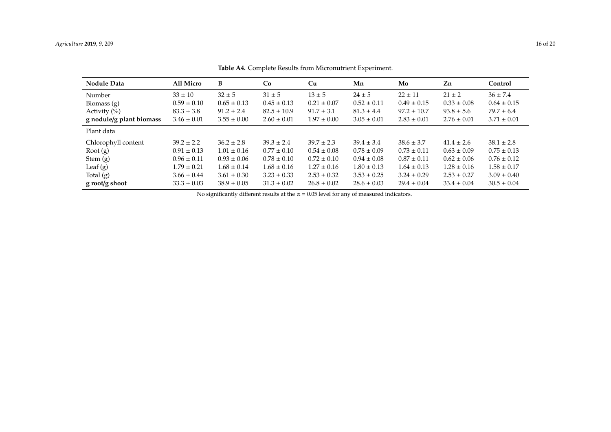| <b>Nodule Data</b>       | All Micro       | B               | Co              | Cu              | Mn              | Mo              | Zn              | Control         |
|--------------------------|-----------------|-----------------|-----------------|-----------------|-----------------|-----------------|-----------------|-----------------|
| Number                   | $33 \pm 10$     | $32 \pm 5$      | $31 \pm 5$      | $13 \pm 5$      | $24 \pm 5$      | $22 \pm 11$     | $21 \pm 2$      | $36 \pm 7.4$    |
| Biomass $(g)$            | $0.59 \pm 0.10$ | $0.65 \pm 0.13$ | $0.45 \pm 0.13$ | $0.21 \pm 0.07$ | $0.52 \pm 0.11$ | $0.49 \pm 0.15$ | $0.33 \pm 0.08$ | $0.64 \pm 0.15$ |
| Activity $(\%)$          | $83.3 \pm 3.8$  | $91.2 \pm 2.4$  | $82.5 \pm 10.9$ | $91.7 \pm 3.1$  | $81.3 \pm 4.4$  | $97.2 \pm 10.7$ | $93.8 \pm 5.6$  | $79.7 \pm 6.4$  |
| g nodule/g plant biomass | $3.46 \pm 0.01$ | $3.55 \pm 0.00$ | $2.60 \pm 0.01$ | $1.97 \pm 0.00$ | $3.05 \pm 0.01$ | $2.83 \pm 0.01$ | $2.76 \pm 0.01$ | $3.71 \pm 0.01$ |
| Plant data               |                 |                 |                 |                 |                 |                 |                 |                 |
| Chlorophyll content      | $39.2 \pm 2.2$  | $36.2 \pm 2.8$  | $39.3 \pm 2.4$  | $39.7 \pm 2.3$  | $39.4 \pm 3.4$  | $38.6 \pm 3.7$  | $41.4 \pm 2.6$  | $38.1 \pm 2.8$  |
| Root $(g)$               | $0.91 \pm 0.13$ | $1.01 \pm 0.16$ | $0.77 \pm 0.10$ | $0.54 \pm 0.08$ | $0.78 \pm 0.09$ | $0.73 \pm 0.11$ | $0.63 \pm 0.09$ | $0.75 \pm 0.13$ |
| Stem $(g)$               | $0.96 \pm 0.11$ | $0.93 \pm 0.06$ | $0.78 \pm 0.10$ | $0.72 \pm 0.10$ | $0.94 \pm 0.08$ | $0.87 \pm 0.11$ | $0.62 \pm 0.06$ | $0.76 \pm 0.12$ |
| Leaf $(g)$               | $1.79 \pm 0.21$ | $1.68 \pm 0.14$ | $1.68 \pm 0.16$ | $1.27 \pm 0.16$ | $1.80 \pm 0.13$ | $1.64 \pm 0.13$ | $1.28 \pm 0.16$ | $1.58 \pm 0.17$ |
| Total $(g)$              | $3.66 \pm 0.44$ | $3.61 \pm 0.30$ | $3.23 \pm 0.33$ | $2.53 \pm 0.32$ | $3.53 \pm 0.25$ | $3.24 \pm 0.29$ | $2.53 \pm 0.27$ | $3.09 \pm 0.40$ |
| g root/g shoot           | $33.3 \pm 0.03$ | $38.9 \pm 0.05$ | $31.3 \pm 0.02$ | $26.8 \pm 0.02$ | $28.6 \pm 0.03$ | $29.4 \pm 0.04$ | $33.4 \pm 0.04$ | $30.5 \pm 0.04$ |

**Table A4.** Complete Results from Micronutrient Experiment.

<span id="page-16-0"></span>No significantly different results at the  $\alpha$  = 0.05 level for any of measured indicators.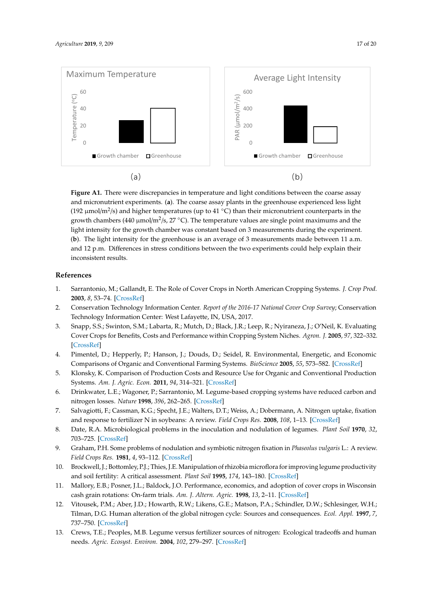<span id="page-17-13"></span>

Figure A1. There were discrepancies in temperature and light conditions between the coarse assay and micronutrient experiments. (a). The coarse assay plants in the greenhouse experienced less light (192  $\mu$ mol/m<sup>2</sup>/s) and higher temperatures (up to 41 °C) than their micronutrient counterparts in the growth chambers (440  $\mu$ mol/m<sup>2</sup>/s, 27 °C). The temperature values are single point maximums and the light intensity for the growth chamber was constant based on 3 measurements during the experiment. (**b**). The light intensity for the greenhouse is an average of 3 measurements made between 11 a.m. and 12 p.m. Differences in stress conditions between the two experiments could help explain their inconsistent results.

## **References**

- <span id="page-17-0"></span>1. Sarrantonio, M.; Gallandt, E. The Role of Cover Crops in North American Cropping Systems. *J. Crop Prod.* **2003**, *8*, 53–74. [\[CrossRef\]](http://dx.doi.org/10.1300/J144v08n01_04)
- <span id="page-17-1"></span>2. Conservation Technology Information Center. *Report of the 2016-17 National Cover Crop Survey*; Conservation Technology Information Center: West Lafayette, IN, USA, 2017.
- <span id="page-17-2"></span>3. Snapp, S.S.; Swinton, S.M.; Labarta, R.; Mutch, D.; Black, J.R.; Leep, R.; Nyiraneza, J.; O'Neil, K. Evaluating Cover Crops for Benefits, Costs and Performance within Cropping System Niches. *Agron. J.* **2005**, *97*, 322–332. [\[CrossRef\]](http://dx.doi.org/10.2134/agronj2005.0322)
- <span id="page-17-3"></span>4. Pimentel, D.; Hepperly, P.; Hanson, J.; Douds, D.; Seidel, R. Environmental, Energetic, and Economic Comparisons of Organic and Conventional Farming Systems. *BioScience* **2005**, *55*, 573–582. [\[CrossRef\]](http://dx.doi.org/10.1641/0006-3568(2005)055[0573:EEAECO]2.0.CO;2)
- <span id="page-17-4"></span>5. Klonsky, K. Comparison of Production Costs and Resource Use for Organic and Conventional Production Systems. *Am. J. Agric. Econ.* **2011**, *94*, 314–321. [\[CrossRef\]](http://dx.doi.org/10.1093/ajae/aar102)
- <span id="page-17-5"></span>6. Drinkwater, L.E.; Wagoner, P.; Sarrantonio, M. Legume-based cropping systems have reduced carbon and nitrogen losses. *Nature* **1998**, *396*, 262–265. [\[CrossRef\]](http://dx.doi.org/10.1038/24376)
- <span id="page-17-6"></span>7. Salvagiotti, F.; Cassman, K.G.; Specht, J.E.; Walters, D.T.; Weiss, A.; Dobermann, A. Nitrogen uptake, fixation and response to fertilizer N in soybeans: A review. *Field Crops Res.* **2008**, *108*, 1–13. [\[CrossRef\]](http://dx.doi.org/10.1016/j.fcr.2008.03.001)
- <span id="page-17-7"></span>8. Date, R.A. Microbiological problems in the inoculation and nodulation of legumes. *Plant Soil* **1970**, *32*, 703–725. [\[CrossRef\]](http://dx.doi.org/10.1007/BF01372901)
- <span id="page-17-12"></span>9. Graham, P.H. Some problems of nodulation and symbiotic nitrogen fixation in *Phaseolus vulgaris* L.: A review. *Field Crops Res.* **1981**, *4*, 93–112. [\[CrossRef\]](http://dx.doi.org/10.1016/0378-4290(81)90060-5)
- <span id="page-17-8"></span>10. Brockwell, J.; Bottomley, P.J.; Thies, J.E.Manipulation of rhizobia microflora for improving legume productivity and soil fertility: A critical assessment. *Plant Soil* **1995**, *174*, 143–180. [\[CrossRef\]](http://dx.doi.org/10.1007/BF00032245)
- <span id="page-17-9"></span>11. Mallory, E.B.; Posner, J.L.; Baldock, J.O. Performance, economics, and adoption of cover crops in Wisconsin cash grain rotations: On-farm trials. *Am. J. Altern. Agric.* **1998**, *13*, 2–11. [\[CrossRef\]](http://dx.doi.org/10.1017/S0889189300007578)
- <span id="page-17-10"></span>12. Vitousek, P.M.; Aber, J.D.; Howarth, R.W.; Likens, G.E.; Matson, P.A.; Schindler, D.W.; Schlesinger, W.H.; Tilman, D.G. Human alteration of the global nitrogen cycle: Sources and consequences. *Ecol. Appl.* **1997**, *7*, 737–750. [\[CrossRef\]](http://dx.doi.org/10.1890/1051-0761(1997)007[0737:HAOTGN]2.0.CO;2)
- <span id="page-17-11"></span>13. Crews, T.E.; Peoples, M.B. Legume versus fertilizer sources of nitrogen: Ecological tradeoffs and human needs. *Agric. Ecosyst. Environ.* **2004**, *102*, 279–297. [\[CrossRef\]](http://dx.doi.org/10.1016/j.agee.2003.09.018)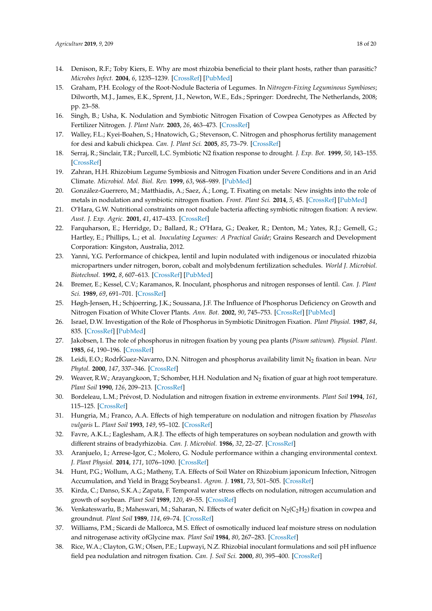- <span id="page-18-0"></span>14. Denison, R.F.; Toby Kiers, E. Why are most rhizobia beneficial to their plant hosts, rather than parasitic? *Microbes Infect.* **2004**, *6*, 1235–1239. [\[CrossRef\]](http://dx.doi.org/10.1016/j.micinf.2004.08.005) [\[PubMed\]](http://www.ncbi.nlm.nih.gov/pubmed/15488744)
- <span id="page-18-1"></span>15. Graham, P.H. Ecology of the Root-Nodule Bacteria of Legumes. In *Nitrogen-Fixing Leguminous Symbioses*; Dilworth, M.J., James, E.K., Sprent, J.I., Newton, W.E., Eds.; Springer: Dordrecht, The Netherlands, 2008; pp. 23–58.
- <span id="page-18-2"></span>16. Singh, B.; Usha, K. Nodulation and Symbiotic Nitrogen Fixation of Cowpea Genotypes as Affected by Fertilizer Nitrogen. *J. Plant Nutr.* **2003**, *26*, 463–473. [\[CrossRef\]](http://dx.doi.org/10.1081/PLN-120017147)
- <span id="page-18-22"></span>17. Walley, F.L.; Kyei-Boahen, S.; Hnatowich, G.; Stevenson, C. Nitrogen and phosphorus fertility management for desi and kabuli chickpea. *Can. J. Plant Sci.* **2005**, *85*, 73–79. [\[CrossRef\]](http://dx.doi.org/10.4141/P04-039)
- <span id="page-18-11"></span>18. Serraj, R.; Sinclair, T.R.; Purcell, L.C. Symbiotic N2 fixation response to drought. *J. Exp. Bot.* **1999**, *50*, 143–155. [\[CrossRef\]](http://dx.doi.org/10.1093/jxb/50.331.143)
- <span id="page-18-3"></span>19. Zahran, H.H. Rhizobium Legume Symbiosis and Nitrogen Fixation under Severe Conditions and in an Arid Climate. *Microbiol. Mol. Biol. Rev.* **1999**, *63*, 968–989. [\[PubMed\]](http://www.ncbi.nlm.nih.gov/pubmed/10585971)
- <span id="page-18-4"></span>20. González-Guerrero, M.; Matthiadis, A.; Saez, Á.; Long, T. Fixating on metals: New insights into the role of metals in nodulation and symbiotic nitrogen fixation. *Front. Plant Sci.* **2014**, *5*, 45. [\[CrossRef\]](http://dx.doi.org/10.3389/fpls.2014.00045) [\[PubMed\]](http://www.ncbi.nlm.nih.gov/pubmed/24592271)
- <span id="page-18-18"></span>21. O'Hara, G.W. Nutritional constraints on root nodule bacteria affecting symbiotic nitrogen fixation: A review. *Aust. J. Exp. Agric.* **2001**, *41*, 417–433. [\[CrossRef\]](http://dx.doi.org/10.1071/EA00087)
- <span id="page-18-6"></span>22. Farquharson, E.; Herridge, D.; Ballard, R.; O'Hara, G.; Deaker, R.; Denton, M.; Yates, R.J.; Gemell, G.; Hartley, E.; Phillips, L.; et al. *Inoculating Legumes: A Practical Guide*; Grains Research and Development Corporation: Kingston, Australia, 2012.
- <span id="page-18-5"></span>23. Yanni, Y.G. Performance of chickpea, lentil and lupin nodulated with indigenous or inoculated rhizobia micropartners under nitrogen, boron, cobalt and molybdenum fertilization schedules. *World J. Microbiol. Biotechnol.* **1992**, *8*, 607–613. [\[CrossRef\]](http://dx.doi.org/10.1007/BF01238798) [\[PubMed\]](http://www.ncbi.nlm.nih.gov/pubmed/24425609)
- <span id="page-18-7"></span>24. Bremer, E.; Kessel, C.V.; Karamanos, R. Inoculant, phosphorus and nitrogen responses of lentil. *Can. J. Plant Sci.* **1989**, *69*, 691–701. [\[CrossRef\]](http://dx.doi.org/10.4141/cjps89-085)
- <span id="page-18-20"></span>25. Høgh-Jensen, H.; Schjoerring, J.K.; Soussana, J.F. The Influence of Phosphorus Deficiency on Growth and Nitrogen Fixation of White Clover Plants. *Ann. Bot.* **2002**, *90*, 745–753. [\[CrossRef\]](http://dx.doi.org/10.1093/aob/mcf260) [\[PubMed\]](http://www.ncbi.nlm.nih.gov/pubmed/12451030)
- <span id="page-18-19"></span>26. Israel, D.W. Investigation of the Role of Phosphorus in Symbiotic Dinitrogen Fixation. *Plant Physiol.* **1987**, *84*, 835. [\[CrossRef\]](http://dx.doi.org/10.1104/pp.84.3.835) [\[PubMed\]](http://www.ncbi.nlm.nih.gov/pubmed/16665531)
- <span id="page-18-21"></span>27. Jakobsen, I. The role of phosphorus in nitrogen fixation by young pea plants (*Pisum sativum*). *Physiol. Plant.* **1985**, *64*, 190–196. [\[CrossRef\]](http://dx.doi.org/10.1111/j.1399-3054.1985.tb02334.x)
- <span id="page-18-8"></span>28. Leidi, E.O.; RodríGuez-Navarro, D.N. Nitrogen and phosphorus availability limit N<sub>2</sub> fixation in bean. *New Phytol.* **2000**, *147*, 337–346. [\[CrossRef\]](http://dx.doi.org/10.1046/j.1469-8137.2000.00703.x)
- <span id="page-18-9"></span>29. Weaver, R.W.; Arayangkoon, T.; Schomber, H.H. Nodulation and  $N_2$  fixation of guar at high root temperature. *Plant Soil* **1990**, *126*, 209–213. [\[CrossRef\]](http://dx.doi.org/10.1007/BF00012824)
- <span id="page-18-15"></span>30. Bordeleau, L.M.; Prévost, D. Nodulation and nitrogen fixation in extreme environments. *Plant Soil* **1994**, *161*, 115–125. [\[CrossRef\]](http://dx.doi.org/10.1007/BF02183092)
- 31. Hungria, M.; Franco, A.A. Effects of high temperature on nodulation and nitrogen fixation by *Phaseolus vulgaris* L. *Plant Soil* **1993**, *149*, 95–102. [\[CrossRef\]](http://dx.doi.org/10.1007/BF00010766)
- <span id="page-18-10"></span>32. Favre, A.K.L.; Eaglesham, A.R.J. The effects of high temperatures on soybean nodulation and growth with different strains of bradyrhizobia. *Can. J. Microbiol.* **1986**, *32*, 22–27. [\[CrossRef\]](http://dx.doi.org/10.1139/m86-005)
- <span id="page-18-12"></span>33. Aranjuelo, I.; Arrese-Igor, C.; Molero, G. Nodule performance within a changing environmental context. *J. Plant Physiol.* **2014**, *171*, 1076–1090. [\[CrossRef\]](http://dx.doi.org/10.1016/j.jplph.2014.04.002)
- <span id="page-18-16"></span>34. Hunt, P.G.; Wollum, A.G.; Matheny, T.A. Effects of Soil Water on Rhizobium japonicum Infection, Nitrogen Accumulation, and Yield in Bragg Soybeans1. *Agron. J.* **1981**, *73*, 501–505. [\[CrossRef\]](http://dx.doi.org/10.2134/agronj1981.00021962007300030024x)
- <span id="page-18-17"></span>35. Kirda, C.; Danso, S.K.A.; Zapata, F. Temporal water stress effects on nodulation, nitrogen accumulation and growth of soybean. *Plant Soil* **1989**, *120*, 49–55. [\[CrossRef\]](http://dx.doi.org/10.1007/BF02370289)
- <span id="page-18-23"></span>36. Venkateswarlu, B.; Maheswari, M.; Saharan, N. Effects of water deficit on  $\rm N_2(C_2H_2)$  fixation in cowpea and groundnut. *Plant Soil* **1989**, *114*, 69–74. [\[CrossRef\]](http://dx.doi.org/10.1007/BF02203083)
- <span id="page-18-13"></span>37. Williams, P.M.; Sicardi de Mallorca, M.S. Effect of osmotically induced leaf moisture stress on nodulation and nitrogenase activity ofGlycine max. *Plant Soil* **1984**, *80*, 267–283. [\[CrossRef\]](http://dx.doi.org/10.1007/BF02161183)
- <span id="page-18-14"></span>38. Rice, W.A.; Clayton, G.W.; Olsen, P.E.; Lupwayi, N.Z. Rhizobial inoculant formulations and soil pH influence field pea nodulation and nitrogen fixation. *Can. J. Soil Sci.* **2000**, *80*, 395–400. [\[CrossRef\]](http://dx.doi.org/10.4141/S99-059)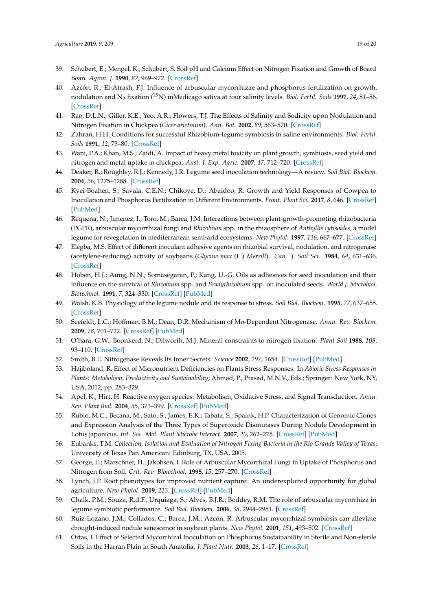- <span id="page-19-0"></span>39. Schubert, E.; Mengel, K.; Schubert, S. Soil pH and Calcium Effect on Nitrogen Fixation and Growth of Board Bean. *Agron. J.* **1990**, *82*, 969–972. [\[CrossRef\]](http://dx.doi.org/10.2134/agronj1990.00021962008200050026x)
- <span id="page-19-1"></span>40. Azcón, R.; El-Atrash, F.J. Influence of arbuscular mycorrhizae and phosphorus fertilization on growth, nodulation and N<sup>2</sup> fixation (15N) inMedicago sativa at four salinity levels. *Biol. Fertil. Soils* **1997**, *24*, 81–86. [\[CrossRef\]](http://dx.doi.org/10.1007/BF01420225)
- 41. Rao, D.L.N.; Giller, K.E.; Yeo, A.R.; Flowers, T.J. The Effects of Salinity and Sodicity upon Nodulation and Nitrogen Fixation in Chickpea (*Cicer arietinum*). *Ann. Bot.* **2002**, *89*, 563–570. [\[CrossRef\]](http://dx.doi.org/10.1093/aob/mcf097)
- <span id="page-19-2"></span>42. Zahran, H.H. Conditions for successful Rhizobium-legume symbiosis in saline environments. *Biol. Fertil. Soils* **1991**, *12*, 73–80. [\[CrossRef\]](http://dx.doi.org/10.1007/BF00369391)
- <span id="page-19-3"></span>43. Wani, P.A.; Khan, M.S.; Zaidi, A. Impact of heavy metal toxicity on plant growth, symbiosis, seed yield and nitrogen and metal uptake in chickpea. *Aust. J. Exp. Agric.* **2007**, *47*, 712–720. [\[CrossRef\]](http://dx.doi.org/10.1071/EA05369)
- <span id="page-19-4"></span>44. Deaker, R.; Roughley, R.J.; Kennedy, I.R. Legume seed inoculation technology—A review. *Soil Biol. Biochem.* **2004**, *36*, 1275–1288. [\[CrossRef\]](http://dx.doi.org/10.1016/j.soilbio.2004.04.009)
- <span id="page-19-5"></span>45. Kyei-Boahen, S.; Savala, C.E.N.; Chikoye, D.; Abaidoo, R. Growth and Yield Responses of Cowpea to Inoculation and Phosphorus Fertilization in Different Environments. *Front. Plant Sci.* **2017**, *8*, 646. [\[CrossRef\]](http://dx.doi.org/10.3389/fpls.2017.00646) [\[PubMed\]](http://www.ncbi.nlm.nih.gov/pubmed/28515729)
- <span id="page-19-6"></span>46. Requena, N.; Jimenez, I.; Toro, M.; Barea, J.M. Interactions between plant-growth-promoting rhizobacteria (PGPR), arbuscular mycorrhizal fungi and *Rhizobium* spp. in the rhizosphere of *Anthyllis cytisoides*, a model legume for revegetation in mediterranean semi-arid ecosystems. *New Phytol.* **1997**, *136*, 667–677. [\[CrossRef\]](http://dx.doi.org/10.1046/j.1469-8137.1997.00786.x)
- <span id="page-19-7"></span>47. Elegba, M.S. Effect of different inoculant adhesive agents on rhizobial survival, nodulation, and nitrogenase (acetylene-reducing) activity of soybeans (*Glycine max* (L.) *Merrill*). *Can. J. Soil Sci.* **1984**, *64*, 631–636. [\[CrossRef\]](http://dx.doi.org/10.4141/cjss84-063)
- <span id="page-19-8"></span>48. Hoben, H.J.; Aung, N.N.; Somasegaran, P.; Kang, U.-G. Oils as adhesives for seed inoculation and their influence on the survival of *Rhizobium* spp. and *Bradyrhizobium* spp. on inoculated seeds. *World J. Microbiol. Biotechnol.* **1991**, *7*, 324–330. [\[CrossRef\]](http://dx.doi.org/10.1007/BF00329398) [\[PubMed\]](http://www.ncbi.nlm.nih.gov/pubmed/24425019)
- <span id="page-19-9"></span>49. Walsh, K.B. Physiology of the legume nodule and its response to stress. *Soil Biol. Biochem.* **1995**, *27*, 637–655. [\[CrossRef\]](http://dx.doi.org/10.1016/0038-0717(95)98644-4)
- <span id="page-19-10"></span>50. Seefeldt, L.C.; Hoffman, B.M.; Dean, D.R. Mechanism of Mo-Dependent Nitrogenase. *Annu. Rev. Biochem.* **2009**, *78*, 701–722. [\[CrossRef\]](http://dx.doi.org/10.1146/annurev.biochem.78.070907.103812) [\[PubMed\]](http://www.ncbi.nlm.nih.gov/pubmed/19489731)
- <span id="page-19-11"></span>51. O'hara, G.W.; Boonkerd, N.; Dilworth, M.J. Mineral constraints to nitrogen fixation. *Plant Soil* **1988**, *108*, 93–110. [\[CrossRef\]](http://dx.doi.org/10.1007/BF02370104)
- <span id="page-19-12"></span>52. Smith, B.E. Nitrogenase Reveals Its Inner Secrets. *Science* **2002**, *297*, 1654. [\[CrossRef\]](http://dx.doi.org/10.1126/science.1076659) [\[PubMed\]](http://www.ncbi.nlm.nih.gov/pubmed/12215632)
- <span id="page-19-13"></span>53. Hajiboland, R. Effect of Micronutrient Deficiencies on Plants Stress Responses. In *Abiotic Stress Responses in Plants: Metabolism, Productivity and Sustainability*; Ahmad, P., Prasad, M.N.V., Eds.; Springer: New York, NY, USA, 2012; pp. 283–329.
- <span id="page-19-14"></span>54. Apel, K.; Hirt, H. Reactive oxygen species: Metabolism, Oxidative Stress, and Signal Transduction. *Annu. Rev. Plant Biol.* **2004**, *55*, 373–399. [\[CrossRef\]](http://dx.doi.org/10.1146/annurev.arplant.55.031903.141701) [\[PubMed\]](http://www.ncbi.nlm.nih.gov/pubmed/15377225)
- <span id="page-19-15"></span>55. Rubio, M.C.; Becana, M.; Sato, S.; James, E.K.; Tabata, S.; Spaink, H.P. Characterization of Genomic Clones and Expression Analysis of the Three Types of Superoxide Dismutases During Nodule Development in Lotus japonicus. *Int. Soc. Mol. Plant Microbe Interact.* **2007**, *20*, 262–275. [\[CrossRef\]](http://dx.doi.org/10.1094/MPMI-20-3-0262) [\[PubMed\]](http://www.ncbi.nlm.nih.gov/pubmed/17378429)
- <span id="page-19-16"></span>56. Eubanks, T.M. *Collection, Isolation and Evaluation of Nitrogen Fixing Bacteria in the Rio Grande Valley of Texas*; University of Texas Pan American: Edinburg, TX, USA, 2005.
- <span id="page-19-17"></span>57. George, E.; Marschner, H.; Jakobsen, I. Role of Arbuscular Mycorrhizal Fungi in Uptake of Phosphorus and Nitrogen from Soil. *Crit. Rev. Biotechnol.* **1995**, *15*, 257–270. [\[CrossRef\]](http://dx.doi.org/10.3109/07388559509147412)
- <span id="page-19-18"></span>58. Lynch, J.P. Root phenotypes for improved nutrient capture: An underexploited opportunity for global agriculture. *New Phytol.* **2019**, *223*. [\[CrossRef\]](http://dx.doi.org/10.1111/nph.15738) [\[PubMed\]](http://www.ncbi.nlm.nih.gov/pubmed/30746704)
- <span id="page-19-19"></span>59. Chalk, P.M.; Souza, R.d.F.; Urquiaga, S.; Alves, B.J.R.; Boddey, R.M. The role of arbuscular mycorrhiza in legume symbiotic performance. *Soil Biol. Biochem.* **2006**, *38*, 2944–2951. [\[CrossRef\]](http://dx.doi.org/10.1016/j.soilbio.2006.05.005)
- <span id="page-19-20"></span>60. Ruiz-Lozano, J.M.; Collados, C.; Barea, J.M.; Azcón, R. Arbuscular mycorrhizal symbiosis can alleviate drought-induced nodule senescence in soybean plants. *New Phytol.* **2001**, *151*, 493–502. [\[CrossRef\]](http://dx.doi.org/10.1046/j.0028-646x.2001.00196.x)
- <span id="page-19-21"></span>61. Ortas, I. Effect of Selected Mycorrhizal Inoculation on Phosphorus Sustainability in Sterile and Non-sterile Soils in the Harran Plain in South Anatolia. *J. Plant Nutr.* **2003**, *26*, 1–17. [\[CrossRef\]](http://dx.doi.org/10.1081/PLN-120016494)